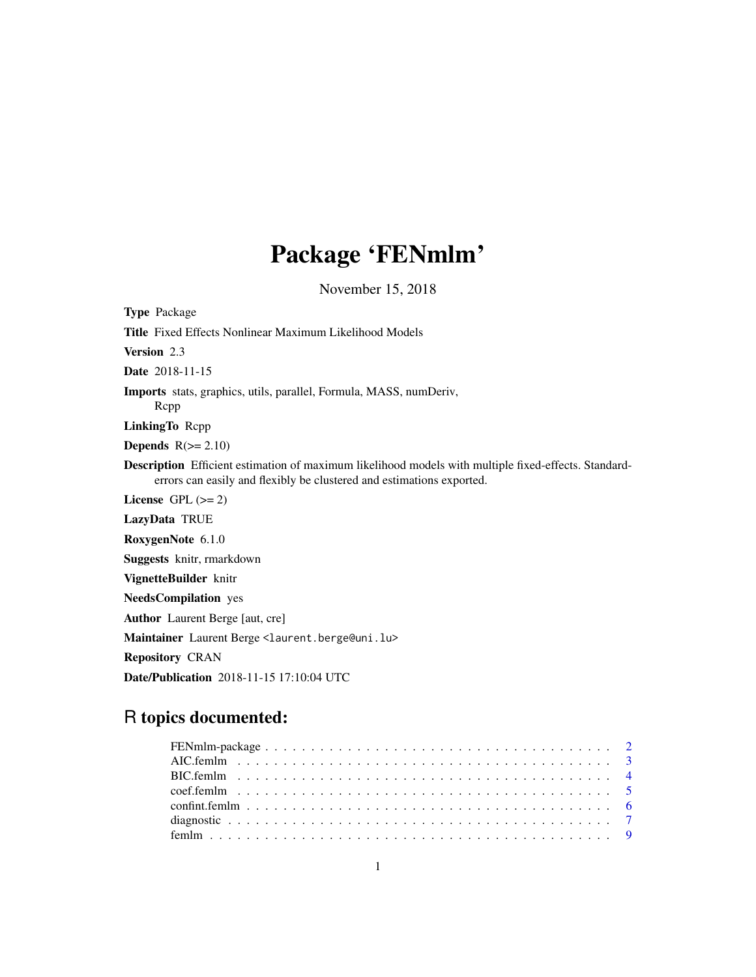# Package 'FENmlm'

November 15, 2018

<span id="page-0-0"></span>Type Package Title Fixed Effects Nonlinear Maximum Likelihood Models Version 2.3 Date 2018-11-15 Imports stats, graphics, utils, parallel, Formula, MASS, numDeriv, Rcpp LinkingTo Rcpp **Depends**  $R(>= 2.10)$ Description Efficient estimation of maximum likelihood models with multiple fixed-effects. Standarderrors can easily and flexibly be clustered and estimations exported. License GPL  $(>= 2)$ LazyData TRUE RoxygenNote 6.1.0 Suggests knitr, rmarkdown VignetteBuilder knitr NeedsCompilation yes Author Laurent Berge [aut, cre] Maintainer Laurent Berge <laurent.berge@uni.lu> Repository CRAN Date/Publication 2018-11-15 17:10:04 UTC

# R topics documented: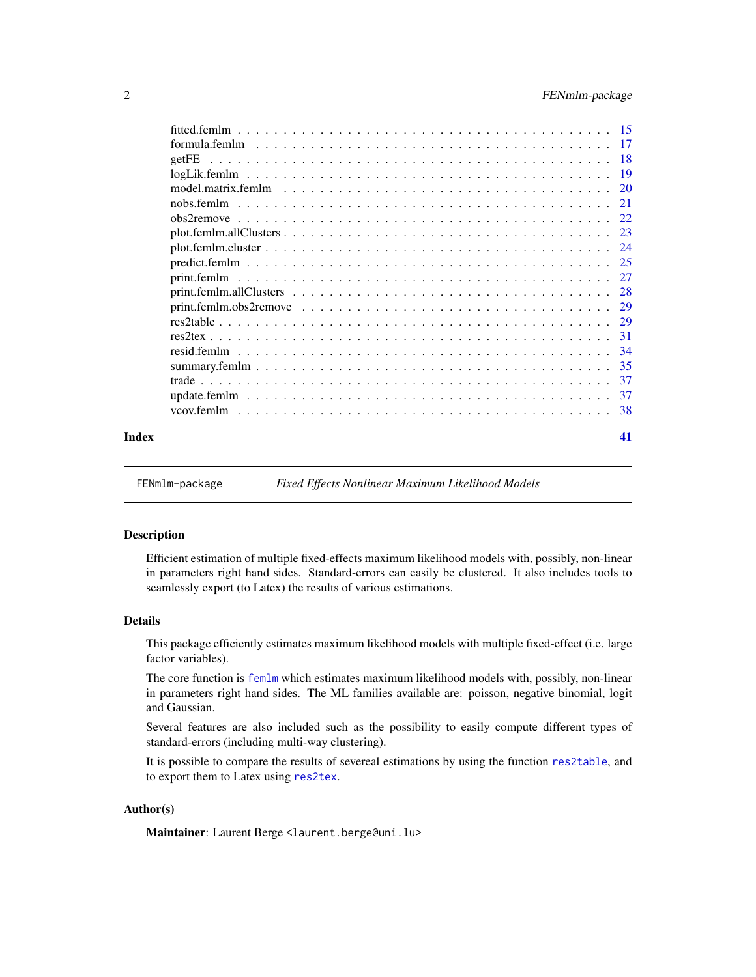<span id="page-1-0"></span>

|       | -37 |
|-------|-----|
|       |     |
|       |     |
| Index | 41  |

FENmlm-package *Fixed Effects Nonlinear Maximum Likelihood Models*

# Description

Efficient estimation of multiple fixed-effects maximum likelihood models with, possibly, non-linear in parameters right hand sides. Standard-errors can easily be clustered. It also includes tools to seamlessly export (to Latex) the results of various estimations.

#### Details

This package efficiently estimates maximum likelihood models with multiple fixed-effect (i.e. large factor variables).

The core function is [femlm](#page-8-1) which estimates maximum likelihood models with, possibly, non-linear in parameters right hand sides. The ML families available are: poisson, negative binomial, logit and Gaussian.

Several features are also included such as the possibility to easily compute different types of standard-errors (including multi-way clustering).

It is possible to compare the results of severeal estimations by using the function [res2table](#page-28-1), and to export them to Latex using [res2tex](#page-30-1).

### Author(s)

Maintainer: Laurent Berge <laurent.berge@uni.lu>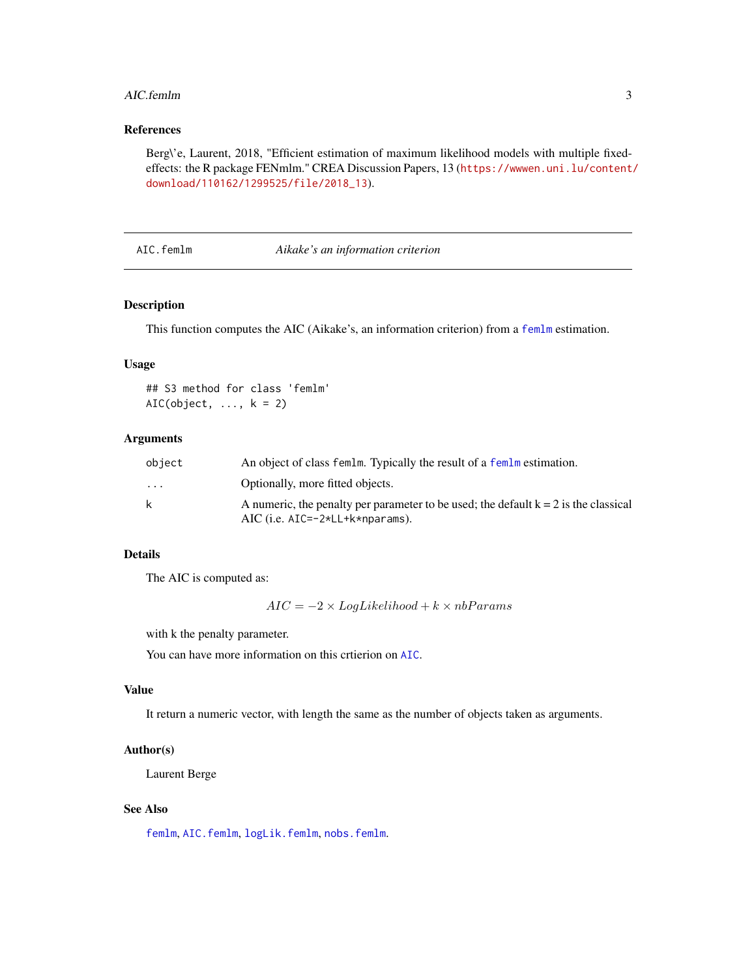#### <span id="page-2-0"></span>AIC.femlm 3

# References

Berg\'e, Laurent, 2018, "Efficient estimation of maximum likelihood models with multiple fixedeffects: the R package FENmlm." CREA Discussion Papers, 13 ([https://wwwen.uni.lu/content/](https://wwwen.uni.lu/content/download/110162/1299525/file/2018_13) [download/110162/1299525/file/2018\\_13](https://wwwen.uni.lu/content/download/110162/1299525/file/2018_13)).

#### <span id="page-2-1"></span>AIC.femlm *Aikake's an information criterion*

# Description

This function computes the AIC (Aikake's, an information criterion) from a [femlm](#page-8-1) estimation.

#### Usage

## S3 method for class 'femlm' AIC(object,  $\dots$ ,  $k = 2$ )

#### Arguments

| object                  | An object of class femlm. Typically the result of a femlm estimation.                 |
|-------------------------|---------------------------------------------------------------------------------------|
| $\cdot$ $\cdot$ $\cdot$ | Optionally, more fitted objects.                                                      |
| k                       | A numeric, the penalty per parameter to be used; the default $k = 2$ is the classical |
|                         | $AIC$ (i.e. $AIC=-2*LL+kk+nparams$ ).                                                 |

#### Details

The AIC is computed as:

 $AIC = -2 \times LogLikelihood + k \times nbParams$ 

with k the penalty parameter.

You can have more information on this crtierion on [AIC](#page-0-0).

#### Value

It return a numeric vector, with length the same as the number of objects taken as arguments.

# Author(s)

Laurent Berge

### See Also

[femlm](#page-8-1), [AIC.femlm](#page-2-1), [logLik.femlm](#page-18-1), [nobs.femlm](#page-20-1).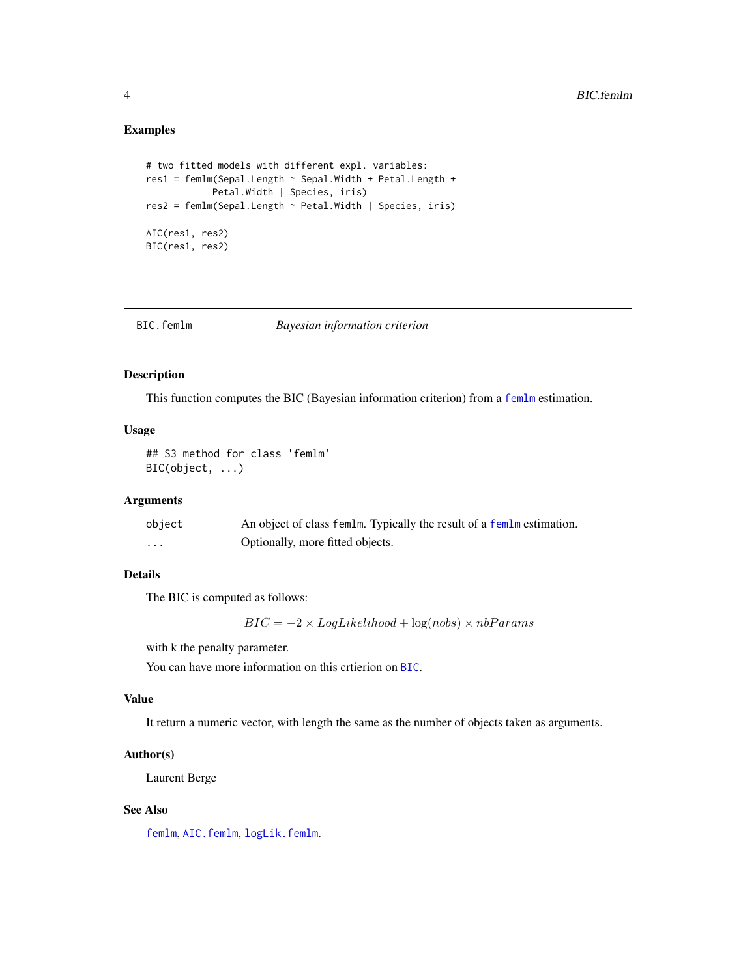# Examples

```
# two fitted models with different expl. variables:
res1 = femlm(Sepal.Length ~ Sepal.Width + Petal.Length +
            Petal.Width | Species, iris)
res2 = femlm(Sepal.Length ~ Petal.Width | Species, iris)
AIC(res1, res2)
BIC(res1, res2)
```
<span id="page-3-1"></span>

| BIC.femlm |
|-----------|
|-----------|

# Bayesian *information* criterion

# Description

This function computes the BIC (Bayesian information criterion) from a [femlm](#page-8-1) estimation.

# Usage

## S3 method for class 'femlm' BIC(object, ...)

#### Arguments

| object   | An object of class femlm. Typically the result of a femlm estimation. |
|----------|-----------------------------------------------------------------------|
| $\cdots$ | Optionally, more fitted objects.                                      |

# Details

The BIC is computed as follows:

 $BIC = -2 \times LogLikelihood + log(nobs) \times nbParams$ 

with k the penalty parameter.

You can have more information on this crtierion on [BIC](#page-0-0).

# Value

It return a numeric vector, with length the same as the number of objects taken as arguments.

#### Author(s)

Laurent Berge

#### See Also

[femlm](#page-8-1), [AIC.femlm](#page-2-1), [logLik.femlm](#page-18-1).

<span id="page-3-0"></span>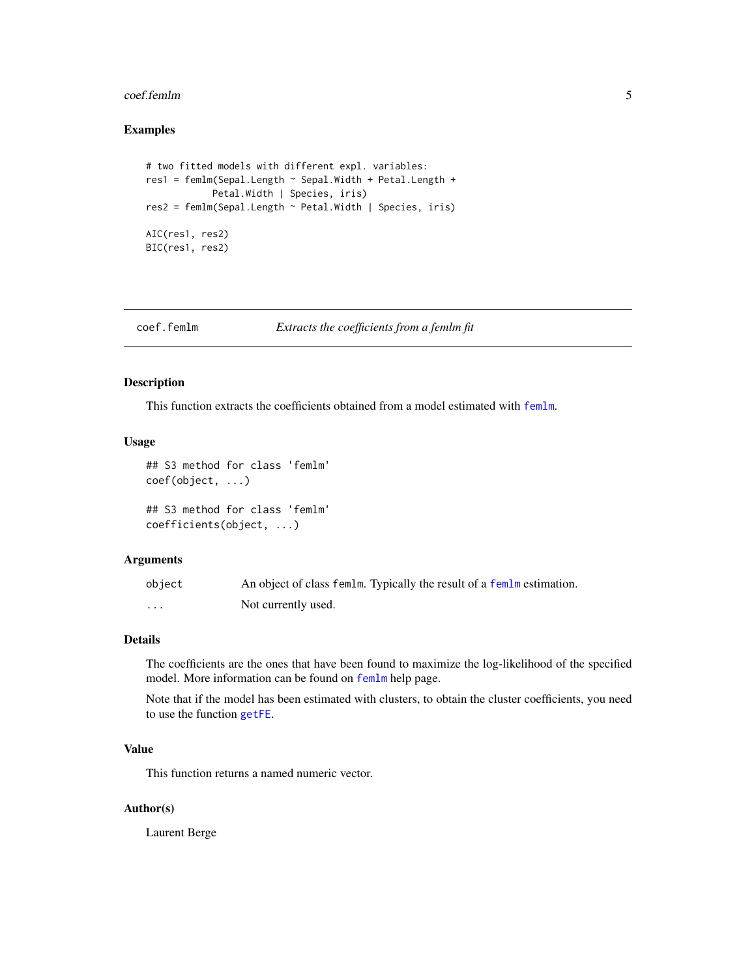#### <span id="page-4-0"></span>coef.femlm 5

# Examples

```
# two fitted models with different expl. variables:
res1 = femlm(Sepal.Length ~ Sepal.Width + Petal.Length +
            Petal.Width | Species, iris)
res2 = femlm(Sepal.Length ~ Petal.Width | Species, iris)
AIC(res1, res2)
BIC(res1, res2)
```
coef.femlm *Extracts the coefficients from a femlm fit*

# Description

This function extracts the coefficients obtained from a model estimated with [femlm](#page-8-1).

#### Usage

```
## S3 method for class 'femlm'
coef(object, ...)
## S3 method for class 'femlm'
coefficients(object, ...)
```
#### Arguments

| object | An object of class femlm. Typically the result of a femlm estimation. |
|--------|-----------------------------------------------------------------------|
| .      | Not currently used.                                                   |

# Details

The coefficients are the ones that have been found to maximize the log-likelihood of the specified model. More information can be found on [femlm](#page-8-1) help page.

Note that if the model has been estimated with clusters, to obtain the cluster coefficients, you need to use the function [getFE](#page-17-1).

#### Value

This function returns a named numeric vector.

# Author(s)

Laurent Berge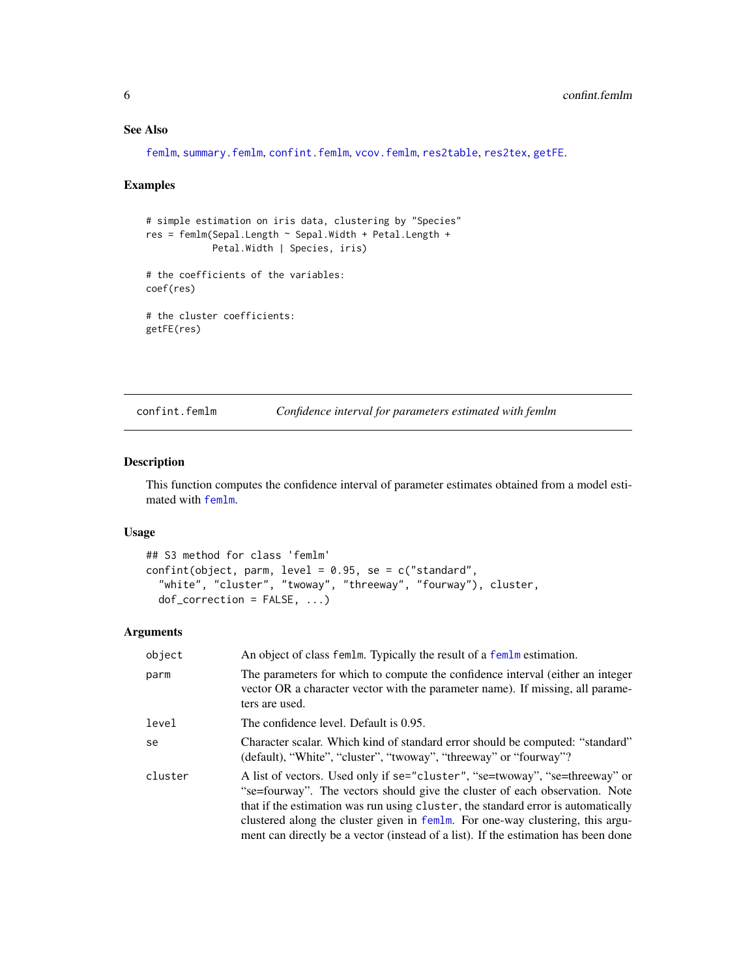# See Also

[femlm](#page-8-1), [summary.femlm](#page-34-1), [confint.femlm](#page-5-1), [vcov.femlm](#page-37-1), [res2table](#page-28-1), [res2tex](#page-30-1), [getFE](#page-17-1).

#### Examples

```
# simple estimation on iris data, clustering by "Species"
res = femlm(Sepal.Length ~ Sepal.Width + Petal.Length +
           Petal.Width | Species, iris)
# the coefficients of the variables:
coef(res)
# the cluster coefficients:
getFE(res)
```
<span id="page-5-1"></span>confint.femlm *Confidence interval for parameters estimated with femlm*

# Description

This function computes the confidence interval of parameter estimates obtained from a model estimated with [femlm](#page-8-1).

# Usage

```
## S3 method for class 'femlm'
confint(object, parm, level = 0.95, se = c("standard",
  "white", "cluster", "twoway", "threeway", "fourway"), cluster,
 dof\_correction = FALSE, ...
```
# Arguments

| object  | An object of class femlm. Typically the result of a femlm estimation.                                                                                                                                                                                                                                                                                                                                                   |
|---------|-------------------------------------------------------------------------------------------------------------------------------------------------------------------------------------------------------------------------------------------------------------------------------------------------------------------------------------------------------------------------------------------------------------------------|
| parm    | The parameters for which to compute the confidence interval (either an integer<br>vector OR a character vector with the parameter name). If missing, all parame-<br>ters are used.                                                                                                                                                                                                                                      |
| level   | The confidence level. Default is 0.95.                                                                                                                                                                                                                                                                                                                                                                                  |
| se      | Character scalar. Which kind of standard error should be computed: "standard"<br>(default), "White", "cluster", "twoway", "threeway" or "fourway"?                                                                                                                                                                                                                                                                      |
| cluster | A list of vectors. Used only if se="cluster", "se=twoway", "se=threeway" or<br>"se=fourway". The vectors should give the cluster of each observation. Note<br>that if the estimation was run using cluster, the standard error is automatically<br>clustered along the cluster given in femlm. For one-way clustering, this argu-<br>ment can directly be a vector (instead of a list). If the estimation has been done |

<span id="page-5-0"></span>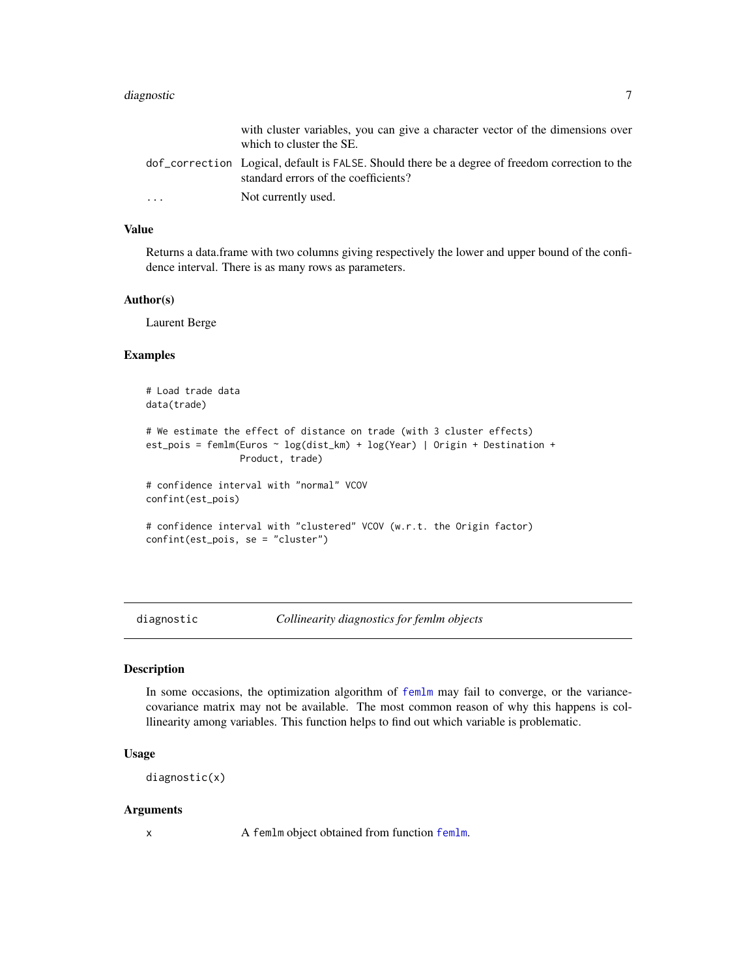# <span id="page-6-0"></span>diagnostic 7

|   | with cluster variables, you can give a character vector of the dimensions over<br>which to cluster the SE.                              |
|---|-----------------------------------------------------------------------------------------------------------------------------------------|
|   | dof correction Logical, default is FALSE. Should there be a degree of freedom correction to the<br>standard errors of the coefficients? |
| . | Not currently used.                                                                                                                     |

#### Value

Returns a data.frame with two columns giving respectively the lower and upper bound of the confidence interval. There is as many rows as parameters.

#### Author(s)

Laurent Berge

#### Examples

```
# Load trade data
data(trade)
# We estimate the effect of distance on trade (with 3 cluster effects)
est_pois = femlm(Euros ~ log(dist_km) + log(Year) | Origin + Destination +
                Product, trade)
# confidence interval with "normal" VCOV
confint(est_pois)
# confidence interval with "clustered" VCOV (w.r.t. the Origin factor)
confint(est_pois, se = "cluster")
```
diagnostic *Collinearity diagnostics for femlm objects*

#### Description

In some occasions, the optimization algorithm of [femlm](#page-8-1) may fail to converge, or the variancecovariance matrix may not be available. The most common reason of why this happens is colllinearity among variables. This function helps to find out which variable is problematic.

# Usage

```
diagnostic(x)
```
#### Arguments

x A [femlm](#page-8-1) object obtained from function femlm.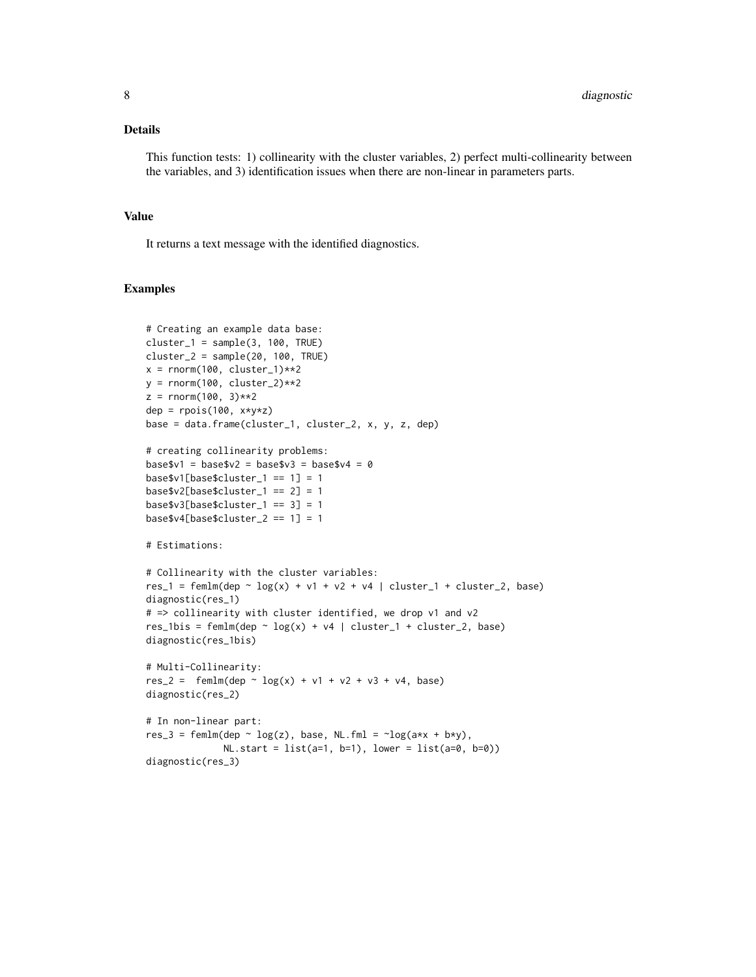# Details

This function tests: 1) collinearity with the cluster variables, 2) perfect multi-collinearity between the variables, and 3) identification issues when there are non-linear in parameters parts.

# Value

It returns a text message with the identified diagnostics.

# Examples

```
# Creating an example data base:
cluster_1 = sample(3, 100, TRUE)cluster_2 = sample(20, 100, TRUE)x = \text{rnorm}(100, \text{ cluster}_1)*2y = \text{rnorm}(100, \text{ cluster}_2)*2z = rnorm(100, 3)**2
dep = rpois(100, x*y*z)base = data.frame(cluster_1, cluster_2, x, y, z, dep)
# creating collinearity problems:
base$v1 = base$v2 = base$v3 = base$v4 = 0base$v1[base$cluster_1 == 1] = 1
base$v2[base$cluster_1 == 2] = 1base\$v3[base\$cluster_1 == 3] = 1base $v4[base$cluster_2 == 1] = 1# Estimations:
# Collinearity with the cluster variables:
res_1 = femlm(dep \sim log(x) + v1 + v2 + v4 | cluster_1 + cluster_2, base)
diagnostic(res_1)
# => collinearity with cluster identified, we drop v1 and v2
res_1bis = femlm(dep \sim log(x) + v4 | cluster_1 + cluster_2, base)
diagnostic(res_1bis)
# Multi-Collinearity:
res_2 = femlm(dep \sim log(x) + v1 + v2 + v3 + v4, base)
diagnostic(res_2)
# In non-linear part:
res_3 = femlm(dep \sim log(z), base, NL.fml = \sim log(a*x + b*y),NL.start = list(a=1, b=1), lower = list(a=0, b=0)diagnostic(res_3)
```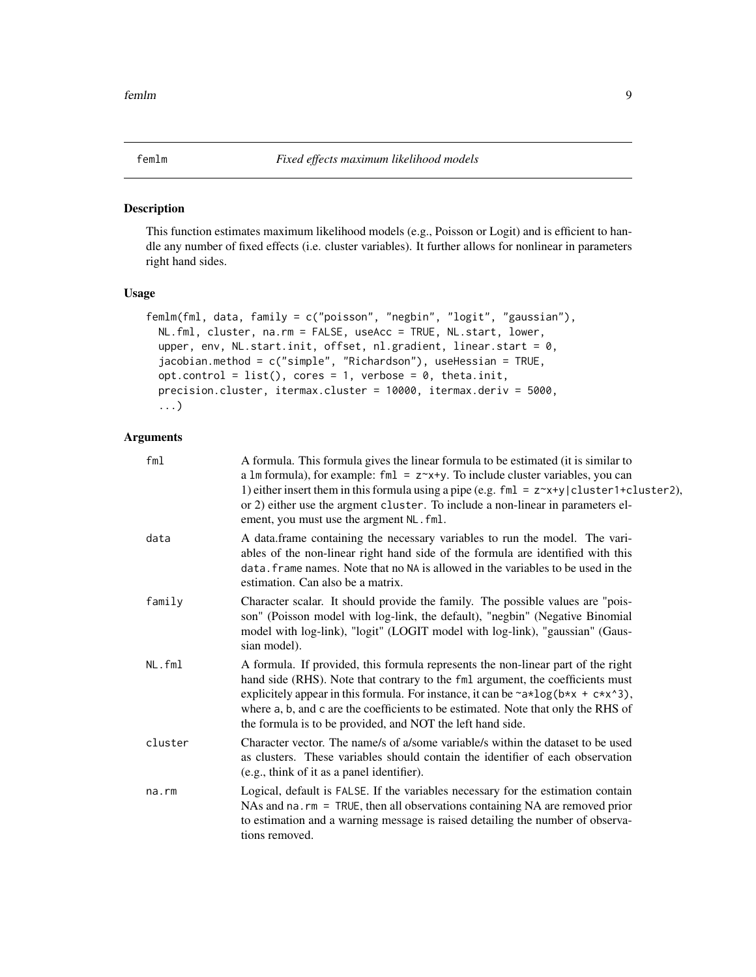#### <span id="page-8-1"></span><span id="page-8-0"></span>Description

This function estimates maximum likelihood models (e.g., Poisson or Logit) and is efficient to handle any number of fixed effects (i.e. cluster variables). It further allows for nonlinear in parameters right hand sides.

# Usage

```
femlm(fml, data, family = c("poisson", "negbin", "logit", "gaussian"),
 NL.fml, cluster, na.rm = FALSE, useAcc = TRUE, NL.start, lower,
 upper, env, NL.start.init, offset, nl.gradient, linear.start = 0,
  jacobian.method = c("simple", "Richardson"), useHessian = TRUE,
 opt.control = list(), cores = 1, verbose = 0, theta.init,
 precision.cluster, itermax.cluster = 10000, itermax.deriv = 5000,
 ...)
```
# Arguments

| fml     | A formula. This formula gives the linear formula to be estimated (it is similar to<br>a 1m formula), for example: fm1 = $z^{\sim}x+y$ . To include cluster variables, you can<br>1) either insert them in this formula using a pipe (e.g. fml = z~x+y cluster1+cluster2),<br>or 2) either use the argment cluster. To include a non-linear in parameters el-<br>ement, you must use the argment NL. fml.                                     |
|---------|----------------------------------------------------------------------------------------------------------------------------------------------------------------------------------------------------------------------------------------------------------------------------------------------------------------------------------------------------------------------------------------------------------------------------------------------|
| data    | A data.frame containing the necessary variables to run the model. The vari-<br>ables of the non-linear right hand side of the formula are identified with this<br>data. frame names. Note that no NA is allowed in the variables to be used in the<br>estimation. Can also be a matrix.                                                                                                                                                      |
| family  | Character scalar. It should provide the family. The possible values are "pois-<br>son" (Poisson model with log-link, the default), "negbin" (Negative Binomial<br>model with log-link), "logit" (LOGIT model with log-link), "gaussian" (Gaus-<br>sian model).                                                                                                                                                                               |
| NL.fml  | A formula. If provided, this formula represents the non-linear part of the right<br>hand side (RHS). Note that contrary to the fml argument, the coefficients must<br>explicitely appear in this formula. For instance, it can be $\sim a \times \log(b \times x + c \times x \cdot 3)$ ,<br>where a, b, and c are the coefficients to be estimated. Note that only the RHS of<br>the formula is to be provided, and NOT the left hand side. |
| cluster | Character vector. The name/s of a/some variable/s within the dataset to be used<br>as clusters. These variables should contain the identifier of each observation<br>(e.g., think of it as a panel identifier).                                                                                                                                                                                                                              |
| na.rm   | Logical, default is FALSE. If the variables necessary for the estimation contain<br>NAs and $na$ . $rm = TRUE$ , then all observations containing NA are removed prior<br>to estimation and a warning message is raised detailing the number of observa-<br>tions removed.                                                                                                                                                                   |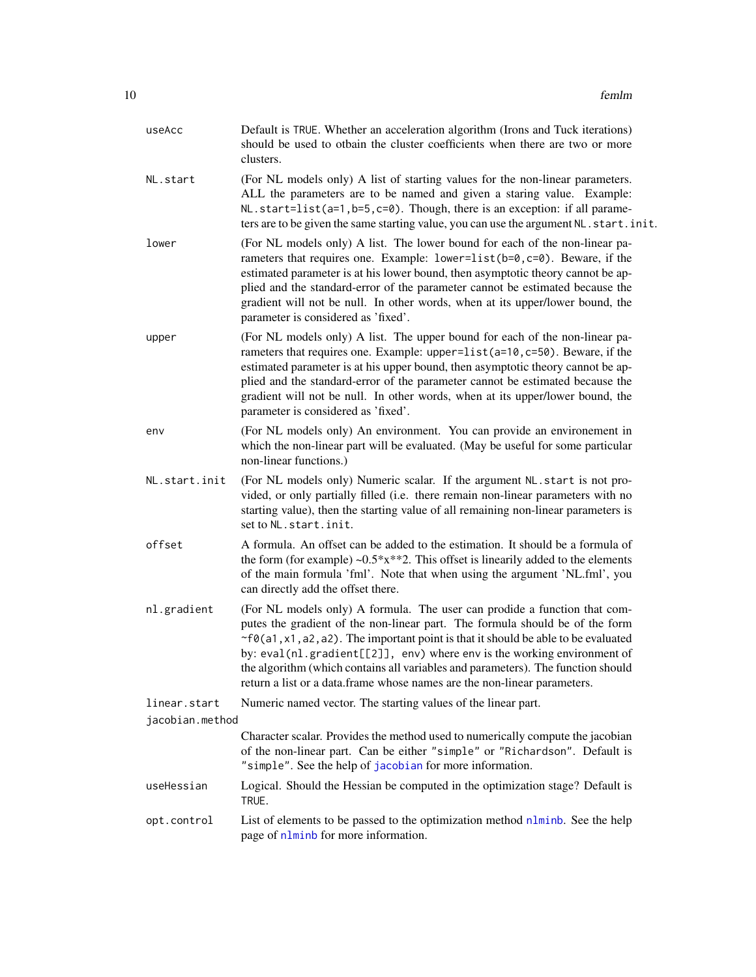<span id="page-9-0"></span>

| useAcc          | Default is TRUE. Whether an acceleration algorithm (Irons and Tuck iterations)<br>should be used to otbain the cluster coefficients when there are two or more<br>clusters.                                                                                                                                                                                                                                                                                                                      |
|-----------------|--------------------------------------------------------------------------------------------------------------------------------------------------------------------------------------------------------------------------------------------------------------------------------------------------------------------------------------------------------------------------------------------------------------------------------------------------------------------------------------------------|
| NL.start        | (For NL models only) A list of starting values for the non-linear parameters.<br>ALL the parameters are to be named and given a staring value. Example:<br>NL.start=list(a=1,b=5,c=0). Though, there is an exception: if all parame-<br>ters are to be given the same starting value, you can use the argument NL. start. init.                                                                                                                                                                  |
| lower           | (For NL models only) A list. The lower bound for each of the non-linear pa-<br>rameters that requires one. Example: lower=list(b=0,c=0). Beware, if the<br>estimated parameter is at his lower bound, then asymptotic theory cannot be ap-<br>plied and the standard-error of the parameter cannot be estimated because the<br>gradient will not be null. In other words, when at its upper/lower bound, the<br>parameter is considered as 'fixed'.                                              |
| upper           | (For NL models only) A list. The upper bound for each of the non-linear pa-<br>rameters that requires one. Example: upper=list(a=10,c=50). Beware, if the<br>estimated parameter is at his upper bound, then asymptotic theory cannot be ap-<br>plied and the standard-error of the parameter cannot be estimated because the<br>gradient will not be null. In other words, when at its upper/lower bound, the<br>parameter is considered as 'fixed'.                                            |
| env             | (For NL models only) An environment. You can provide an environement in<br>which the non-linear part will be evaluated. (May be useful for some particular<br>non-linear functions.)                                                                                                                                                                                                                                                                                                             |
| NL.start.init   | (For NL models only) Numeric scalar. If the argument NL.start is not pro-<br>vided, or only partially filled (i.e. there remain non-linear parameters with no<br>starting value), then the starting value of all remaining non-linear parameters is<br>set to NL. start. init.                                                                                                                                                                                                                   |
| offset          | A formula. An offset can be added to the estimation. It should be a formula of<br>the form (for example) $\sim 0.5*x**2$ . This offset is linearily added to the elements<br>of the main formula 'fml'. Note that when using the argument 'NL.fml', you<br>can directly add the offset there.                                                                                                                                                                                                    |
| nl.gradient     | (For NL models only) A formula. The user can prodide a function that com-<br>putes the gradient of the non-linear part. The formula should be of the form<br>$\sim$ f0(a1, x1, a2, a2). The important point is that it should be able to be evaluated<br>by: eval(nl.gradient[[2]], env) where env is the working environment of<br>the algorithm (which contains all variables and parameters). The function should<br>return a list or a data.frame whose names are the non-linear parameters. |
| linear.start    | Numeric named vector. The starting values of the linear part.                                                                                                                                                                                                                                                                                                                                                                                                                                    |
| jacobian.method | Character scalar. Provides the method used to numerically compute the jacobian<br>of the non-linear part. Can be either "simple" or "Richardson". Default is<br>"simple". See the help of jacobian for more information.                                                                                                                                                                                                                                                                         |
| useHessian      | Logical. Should the Hessian be computed in the optimization stage? Default is<br>TRUE.                                                                                                                                                                                                                                                                                                                                                                                                           |
| opt.control     | List of elements to be passed to the optimization method nlminb. See the help<br>page of nlminb for more information.                                                                                                                                                                                                                                                                                                                                                                            |
|                 |                                                                                                                                                                                                                                                                                                                                                                                                                                                                                                  |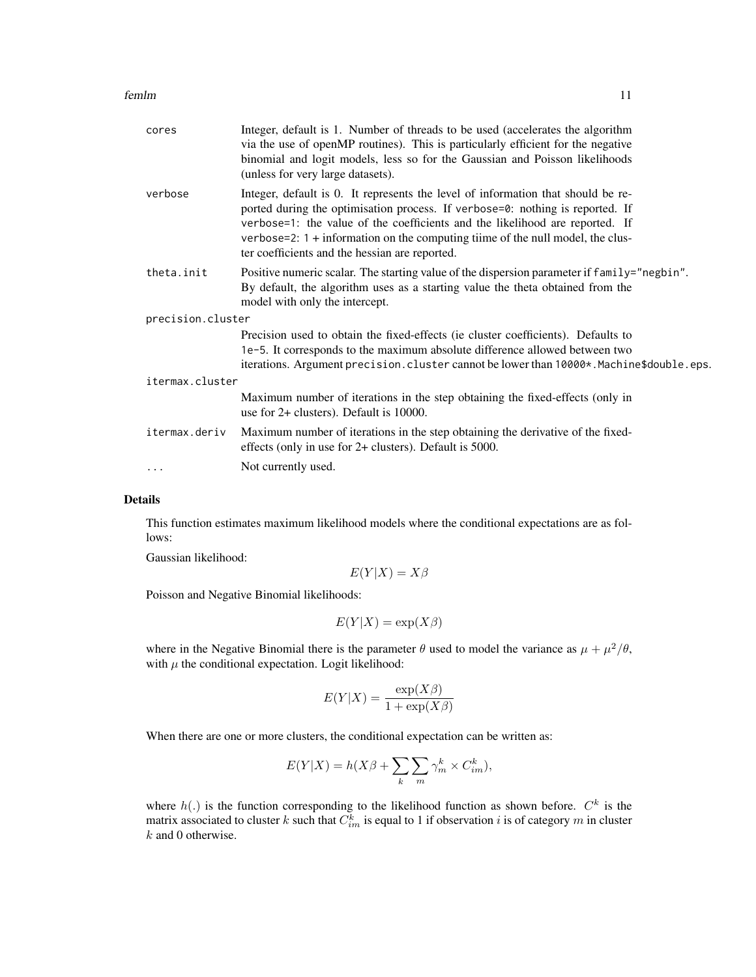#### femlm and the state of the state of the state of the state of the state of the state of the state of the state of the state of the state of the state of the state of the state of the state of the state of the state of the

| cores             | Integer, default is 1. Number of threads to be used (accelerates the algorithm<br>via the use of openMP routines). This is particularly efficient for the negative<br>binomial and logit models, less so for the Gaussian and Poisson likelihoods<br>(unless for very large datasets).                                                                                                 |
|-------------------|----------------------------------------------------------------------------------------------------------------------------------------------------------------------------------------------------------------------------------------------------------------------------------------------------------------------------------------------------------------------------------------|
| verbose           | Integer, default is 0. It represents the level of information that should be re-<br>ported during the optimisation process. If verbose=0: nothing is reported. If<br>verbose=1: the value of the coefficients and the likelihood are reported. If<br>verbose=2: $1 +$ information on the computing time of the null model, the clus-<br>ter coefficients and the hessian are reported. |
| theta.init        | Positive numeric scalar. The starting value of the dispersion parameter if family="negbin".<br>By default, the algorithm uses as a starting value the theta obtained from the<br>model with only the intercept.                                                                                                                                                                        |
| precision.cluster |                                                                                                                                                                                                                                                                                                                                                                                        |
|                   | Precision used to obtain the fixed-effects (ie cluster coefficients). Defaults to<br>1e-5. It corresponds to the maximum absolute difference allowed between two<br>iterations. Argument precision. cluster cannot be lower than 10000*. Machine\$double.eps.                                                                                                                          |
| itermax.cluster   |                                                                                                                                                                                                                                                                                                                                                                                        |
|                   | Maximum number of iterations in the step obtaining the fixed-effects (only in<br>use for $2+$ clusters). Default is 10000.                                                                                                                                                                                                                                                             |
| itermax.deriv     | Maximum number of iterations in the step obtaining the derivative of the fixed-<br>effects (only in use for 2+ clusters). Default is 5000.                                                                                                                                                                                                                                             |
| $\cdots$          | Not currently used.                                                                                                                                                                                                                                                                                                                                                                    |
|                   |                                                                                                                                                                                                                                                                                                                                                                                        |

# Details

This function estimates maximum likelihood models where the conditional expectations are as follows:

Gaussian likelihood:

$$
E(Y|X) = X\beta
$$

Poisson and Negative Binomial likelihoods:

$$
E(Y|X) = \exp(X\beta)
$$

where in the Negative Binomial there is the parameter  $\theta$  used to model the variance as  $\mu + \mu^2/\theta$ , with  $\mu$  the conditional expectation. Logit likelihood:

$$
E(Y|X) = \frac{\exp(X\beta)}{1 + \exp(X\beta)}
$$

When there are one or more clusters, the conditional expectation can be written as:

$$
E(Y|X) = h(X\beta + \sum_{k} \sum_{m} \gamma_m^k \times C_{im}^k),
$$

where  $h(.)$  is the function corresponding to the likelihood function as shown before.  $C<sup>k</sup>$  is the matrix associated to cluster  $k$  such that  $C_{im}^k$  is equal to  $1$  if observation  $i$  is of category  $m$  in cluster  $k$  and 0 otherwise.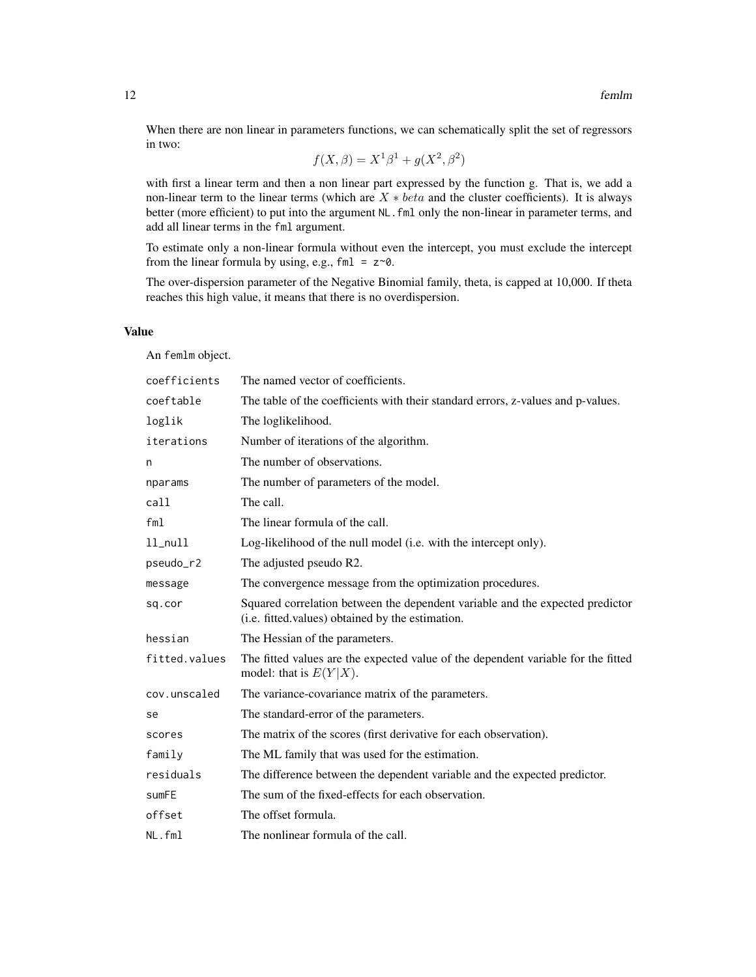When there are non linear in parameters functions, we can schematically split the set of regressors in two:

$$
f(X, \beta) = X^1 \beta^1 + g(X^2, \beta^2)
$$

with first a linear term and then a non linear part expressed by the function g. That is, we add a non-linear term to the linear terms (which are  $X * beta$  and the cluster coefficients). It is always better (more efficient) to put into the argument NL. fml only the non-linear in parameter terms, and add all linear terms in the fml argument.

To estimate only a non-linear formula without even the intercept, you must exclude the intercept from the linear formula by using, e.g.,  $fml = z \sim 0$ .

The over-dispersion parameter of the Negative Binomial family, theta, is capped at 10,000. If theta reaches this high value, it means that there is no overdispersion.

# Value

An femlm object.

| coefficients  | The named vector of coefficients.                                                                                                 |
|---------------|-----------------------------------------------------------------------------------------------------------------------------------|
| coeftable     | The table of the coefficients with their standard errors, z-values and p-values.                                                  |
| loglik        | The loglikelihood.                                                                                                                |
| iterations    | Number of iterations of the algorithm.                                                                                            |
| n             | The number of observations.                                                                                                       |
| nparams       | The number of parameters of the model.                                                                                            |
| call          | The call.                                                                                                                         |
| fm1           | The linear formula of the call.                                                                                                   |
| $ll$ _null    | Log-likelihood of the null model (i.e. with the intercept only).                                                                  |
| pseudo_r2     | The adjusted pseudo R2.                                                                                                           |
| message       | The convergence message from the optimization procedures.                                                                         |
| sq.cor        | Squared correlation between the dependent variable and the expected predictor<br>(i.e. fitted values) obtained by the estimation. |
| hessian       | The Hessian of the parameters.                                                                                                    |
| fitted.values | The fitted values are the expected value of the dependent variable for the fitted<br>model: that is $E(Y X)$ .                    |
| cov.unscaled  | The variance-covariance matrix of the parameters.                                                                                 |
| se            | The standard-error of the parameters.                                                                                             |
| scores        | The matrix of the scores (first derivative for each observation).                                                                 |
| family        | The ML family that was used for the estimation.                                                                                   |
| residuals     | The difference between the dependent variable and the expected predictor.                                                         |
| sumFE         | The sum of the fixed-effects for each observation.                                                                                |
| offset        | The offset formula.                                                                                                               |
| NL.fml        | The nonlinear formula of the call.                                                                                                |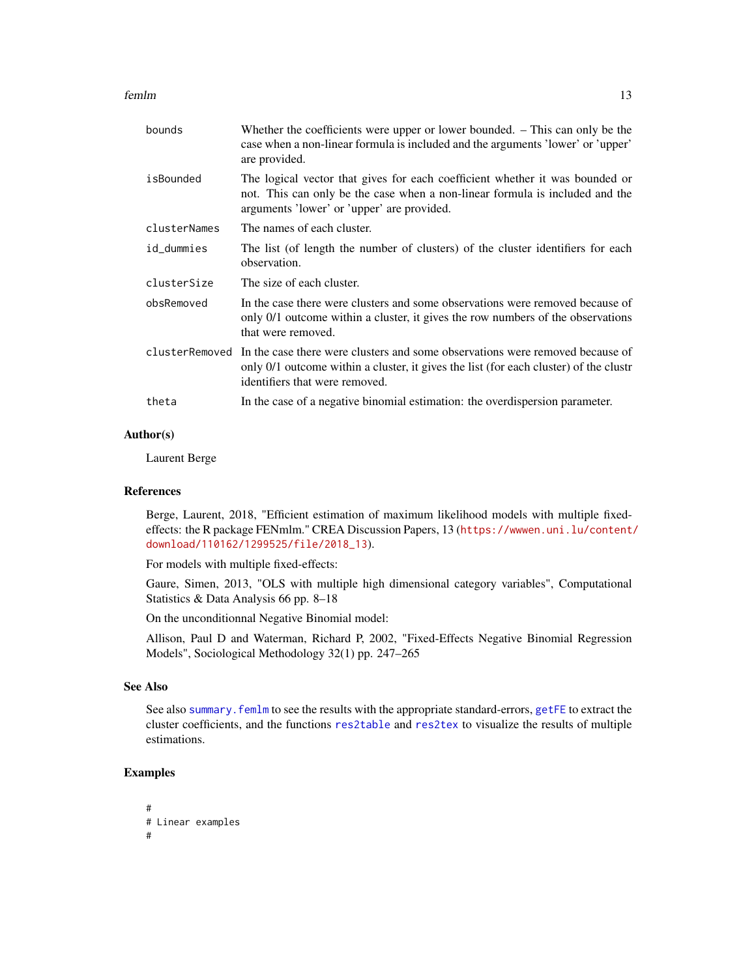<span id="page-12-0"></span>femlm and the state of the state of the state of the state of the state of the state of the state of the state of the state of the state of the state of the state of the state of the state of the state of the state of the

| bounds       | Whether the coefficients were upper or lower bounded. $-$ This can only be the<br>case when a non-linear formula is included and the arguments 'lower' or 'upper'<br>are provided.                                      |
|--------------|-------------------------------------------------------------------------------------------------------------------------------------------------------------------------------------------------------------------------|
| isBounded    | The logical vector that gives for each coefficient whether it was bounded or<br>not. This can only be the case when a non-linear formula is included and the<br>arguments 'lower' or 'upper' are provided.              |
| clusterNames | The names of each cluster.                                                                                                                                                                                              |
| id_dummies   | The list (of length the number of clusters) of the cluster identifiers for each<br>observation.                                                                                                                         |
| clusterSize  | The size of each cluster.                                                                                                                                                                                               |
| obsRemoved   | In the case there were clusters and some observations were removed because of<br>only 0/1 outcome within a cluster, it gives the row numbers of the observations<br>that were removed.                                  |
|              | clusterRemoved In the case there were clusters and some observations were removed because of<br>only 0/1 outcome within a cluster, it gives the list (for each cluster) of the clustr<br>identifiers that were removed. |
| theta        | In the case of a negative binomial estimation: the overdispersion parameter.                                                                                                                                            |

# Author(s)

Laurent Berge

#### References

Berge, Laurent, 2018, "Efficient estimation of maximum likelihood models with multiple fixedeffects: the R package FENmlm." CREA Discussion Papers, 13 ([https://wwwen.uni.lu/content/](https://wwwen.uni.lu/content/download/110162/1299525/file/2018_13) [download/110162/1299525/file/2018\\_13](https://wwwen.uni.lu/content/download/110162/1299525/file/2018_13)).

For models with multiple fixed-effects:

Gaure, Simen, 2013, "OLS with multiple high dimensional category variables", Computational Statistics & Data Analysis 66 pp. 8–18

On the unconditionnal Negative Binomial model:

Allison, Paul D and Waterman, Richard P, 2002, "Fixed-Effects Negative Binomial Regression Models", Sociological Methodology 32(1) pp. 247–265

# See Also

See also summary. femlm to see the results with the appropriate standard-errors, [getFE](#page-17-1) to extract the cluster coefficients, and the functions [res2table](#page-28-1) and [res2tex](#page-30-1) to visualize the results of multiple estimations.

# Examples

```
#
# Linear examples
#
```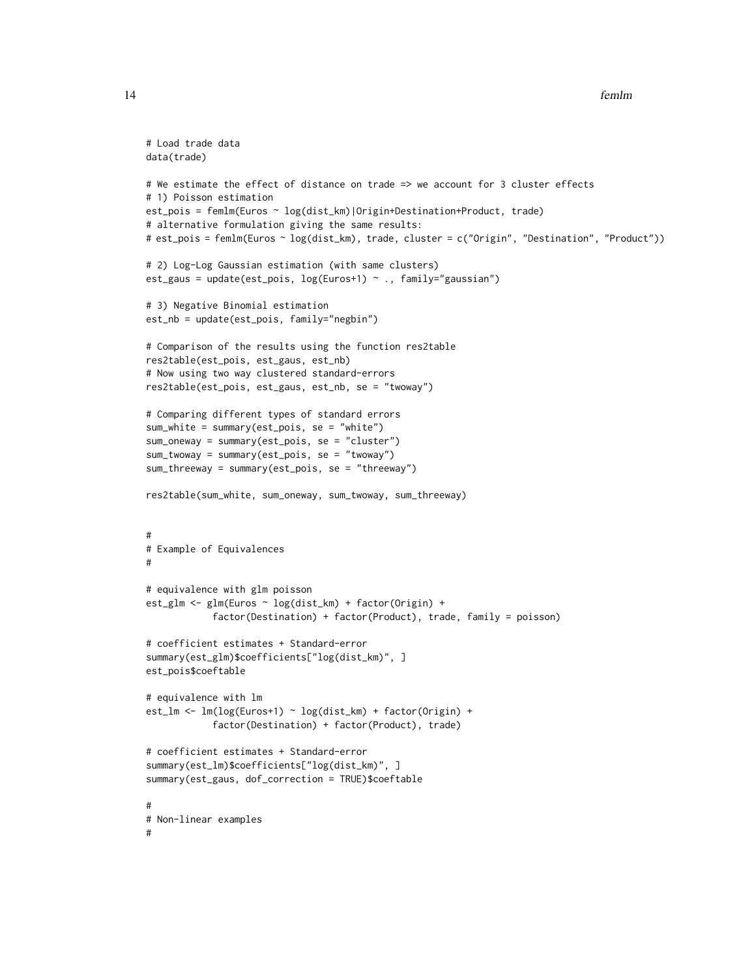```
# Load trade data
data(trade)
# We estimate the effect of distance on trade => we account for 3 cluster effects
# 1) Poisson estimation
est_pois = femlm(Euros ~ log(dist_km)|Origin+Destination+Product, trade)
# alternative formulation giving the same results:
# est_pois = femlm(Euros ~ log(dist_km), trade, cluster = c("Origin", "Destination", "Product"))
# 2) Log-Log Gaussian estimation (with same clusters)
est_gaus = update(est_pois, log(Euros+1) ~ ., family="gaussian")
# 3) Negative Binomial estimation
est_nb = update(est_pois, family="negbin")
# Comparison of the results using the function res2table
res2table(est_pois, est_gaus, est_nb)
# Now using two way clustered standard-errors
res2table(est_pois, est_gaus, est_nb, se = "twoway")
# Comparing different types of standard errors
sum_white = summary(est_pois, se = "white")
sum_oneway = summary(est_pois, se = "cluster")
sum_twoway = summary(est_pois, se = "twoway")
sum_threeway = summary(est_pois, se = "threeway")
res2table(sum_white, sum_oneway, sum_twoway, sum_threeway)
#
# Example of Equivalences
#
# equivalence with glm poisson
est_glm <- glm(Euros ~ log(dist_km) + factor(Origin) +
            factor(Destination) + factor(Product), trade, family = poisson)
# coefficient estimates + Standard-error
summary(est_glm)$coefficients["log(dist_km)", ]
est_pois$coeftable
# equivalence with lm
est_lm <- lm(log(Euros+1) ~ log(dist_km) + factor(Origin) +
            factor(Destination) + factor(Product), trade)
# coefficient estimates + Standard-error
summary(est_lm)$coefficients["log(dist_km)", ]
summary(est_gaus, dof_correction = TRUE)$coeftable
#
# Non-linear examples
#
```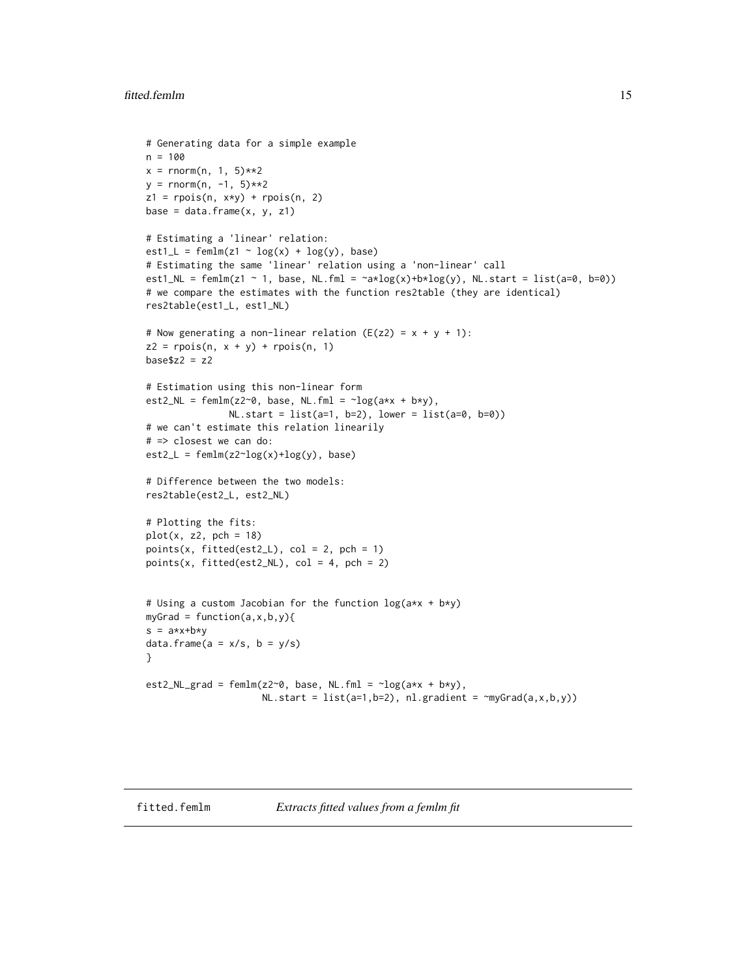```
# Generating data for a simple example
n = 100
x = \text{rnorm}(n, 1, 5)**2
y = rnorm(n, -1, 5)**2
z1 = \text{rpois}(n, x*y) + \text{rpois}(n, 2)base = data.frame(x, y, z1)# Estimating a 'linear' relation:
est1_L = femlm(z1 ~ v log(x) ~ + log(y), base)# Estimating the same 'linear' relation using a 'non-linear' call
est1_NL = femlm(z1 ~ 1, base, NL.fml = \text{rank}(\mathbf{x}) + \text{rank}(\mathbf{y}), NL.start = list(a=0, b=0))
# we compare the estimates with the function res2table (they are identical)
res2table(est1_L, est1_NL)
# Now generating a non-linear relation (E(z2) = x + y + 1):
z2 = rpois(n, x + y) + rpois(n, 1)base$z2 = z2# Estimation using this non-linear form
est2_NL = femlm(z2~0, base, NL.fml = \neglog(a*x + b*y),
               NL.start = list(a=1, b=2), lower = list(a=0, b=0)# we can't estimate this relation linearily
# => closest we can do:
est2_L = femlm(z2^log(x)+log(y), base)# Difference between the two models:
res2table(est2_L, est2_NL)
# Plotting the fits:
plot(x, z2, pch = 18)points(x, fitted(est2_L), col = 2, pch = 1)points(x, fitted(est2_NL), col = 4, pch = 2)# Using a custom Jacobian for the function log(a*x + b*y)
myGrad = function(a, x, b, y)s = a \cdot x + b \cdot ydata.frame(a = x/s, b = y/s)
}
est2_NL_grad = femlm(z2~0, base, NL.fml = \neg \log(a*x + b*y),
                      NL.start = list(a=1,b=2), nl.gradient = ~myGrad(a,x,b,y))
```
<span id="page-14-1"></span>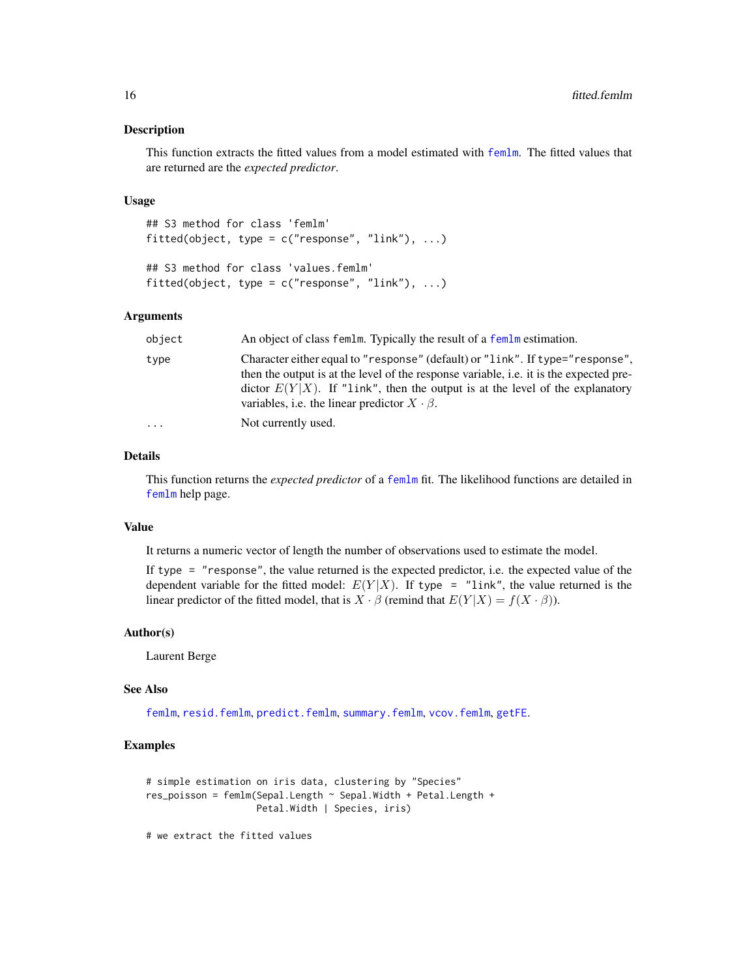#### <span id="page-15-0"></span>Description

This function extracts the fitted values from a model estimated with [femlm](#page-8-1). The fitted values that are returned are the *expected predictor*.

#### Usage

```
## S3 method for class 'femlm'
fitted(object, type = c("response", "link"), ...)
## S3 method for class 'values.femlm'
fitted(object, type = c("response", "link"), ...)
```
#### Arguments

| object   | An object of class femlm. Typically the result of a femlm estimation.                                                                                                                                                                                                                                                       |
|----------|-----------------------------------------------------------------------------------------------------------------------------------------------------------------------------------------------------------------------------------------------------------------------------------------------------------------------------|
| type     | Character either equal to "response" (default) or "link". If type="response",<br>then the output is at the level of the response variable, <i>i.e.</i> it is the expected pre-<br>dictor $E(Y X)$ . If "link", then the output is at the level of the explanatory<br>variables, i.e. the linear predictor $X \cdot \beta$ . |
| $\ddots$ | Not currently used.                                                                                                                                                                                                                                                                                                         |

# Details

This function returns the *expected predictor* of a [femlm](#page-8-1) fit. The likelihood functions are detailed in [femlm](#page-8-1) help page.

#### Value

It returns a numeric vector of length the number of observations used to estimate the model.

If type = "response", the value returned is the expected predictor, i.e. the expected value of the dependent variable for the fitted model:  $E(Y|X)$ . If type = "link", the value returned is the linear predictor of the fitted model, that is  $X \cdot \beta$  (remind that  $E(Y|X) = f(X \cdot \beta)$ ).

# Author(s)

Laurent Berge

# See Also

[femlm](#page-8-1), [resid.femlm](#page-33-1), [predict.femlm](#page-24-1), [summary.femlm](#page-34-1), [vcov.femlm](#page-37-1), [getFE](#page-17-1).

#### Examples

```
# simple estimation on iris data, clustering by "Species"
res_poisson = femlm(Sepal.Length ~ Sepal.Width + Petal.Length +
                   Petal.Width | Species, iris)
```
# we extract the fitted values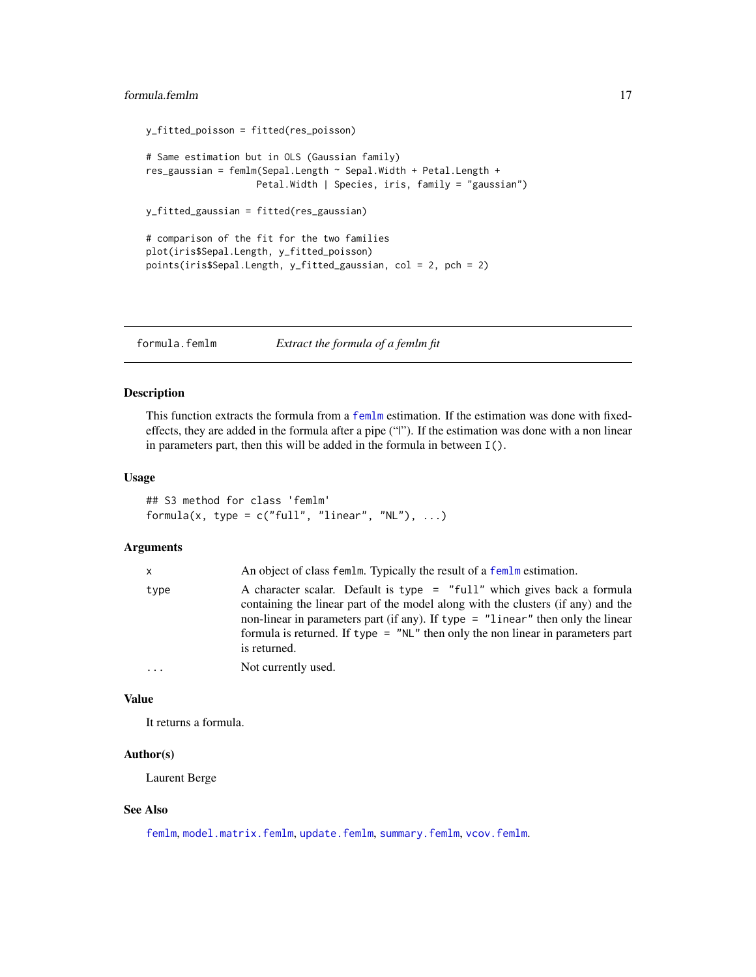# <span id="page-16-0"></span>formula.femlm 17

```
y_fitted_poisson = fitted(res_poisson)
# Same estimation but in OLS (Gaussian family)
res_gaussian = femlm(Sepal.Length ~ Sepal.Width + Petal.Length +
                    Petal.Width | Species, iris, family = "gaussian")
y_fitted_gaussian = fitted(res_gaussian)
# comparison of the fit for the two families
plot(iris$Sepal.Length, y_fitted_poisson)
points(iris$Sepal.Length, y_fitted_gaussian, col = 2, pch = 2)
```
<span id="page-16-1"></span>formula.femlm *Extract the formula of a femlm fit*

# Description

This function extracts the formula from a [femlm](#page-8-1) estimation. If the estimation was done with fixedeffects, they are added in the formula after a pipe ("|"). If the estimation was done with a non linear in parameters part, then this will be added in the formula in between I().

# Usage

## S3 method for class 'femlm' formula(x, type =  $c("full", "linear", "NL"), ...$ )

#### Arguments

| x.   | An object of class femlm. Typically the result of a femlm estimation.                                                                                                                                                                                                                                                                               |
|------|-----------------------------------------------------------------------------------------------------------------------------------------------------------------------------------------------------------------------------------------------------------------------------------------------------------------------------------------------------|
| type | A character scalar. Default is type = "full" which gives back a formula<br>containing the linear part of the model along with the clusters (if any) and the<br>non-linear in parameters part (if any). If type = "linear" then only the linear<br>formula is returned. If $type = "NL"$ then only the non-linear in parameters part<br>is returned. |
| .    | Not currently used.                                                                                                                                                                                                                                                                                                                                 |

# Value

It returns a formula.

#### Author(s)

Laurent Berge

#### See Also

[femlm](#page-8-1), [model.matrix.femlm](#page-19-1), [update.femlm](#page-36-1), [summary.femlm](#page-34-1), [vcov.femlm](#page-37-1).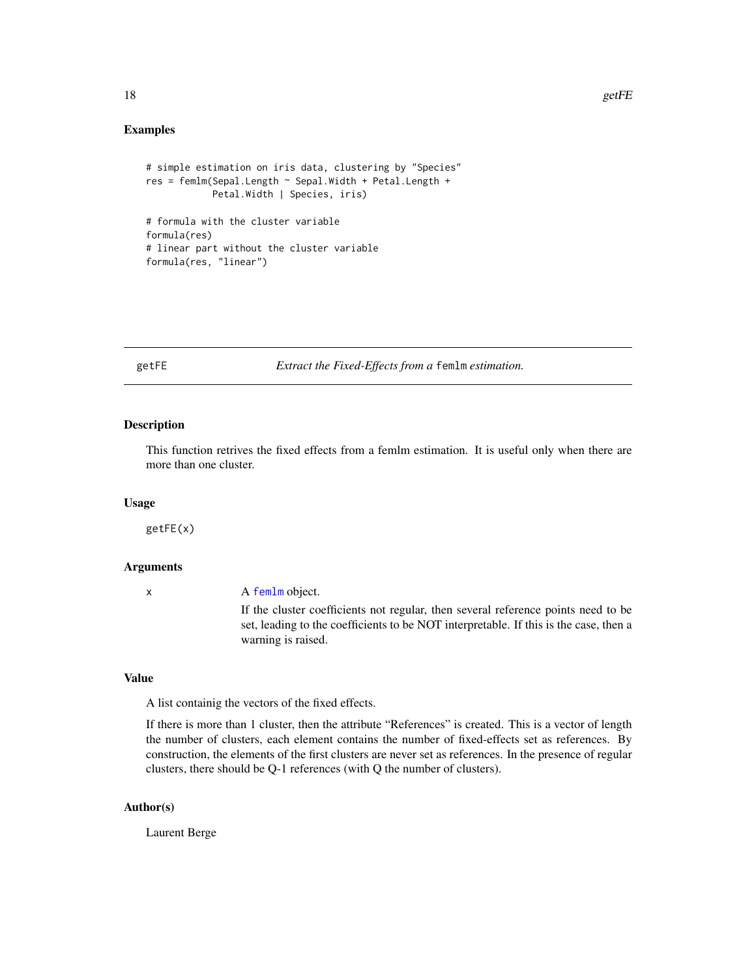#### <span id="page-17-0"></span>Examples

```
# simple estimation on iris data, clustering by "Species"
res = femlm(Sepal.Length ~ Sepal.Width + Petal.Length +
            Petal.Width | Species, iris)
# formula with the cluster variable
formula(res)
# linear part without the cluster variable
formula(res, "linear")
```
<span id="page-17-1"></span>getFE *Extract the Fixed-Effects from a* femlm *estimation.*

# Description

This function retrives the fixed effects from a femlm estimation. It is useful only when there are more than one cluster.

#### Usage

getFE(x)

#### Arguments

| A femlm object.                                                                       |
|---------------------------------------------------------------------------------------|
| If the cluster coefficients not regular, then several reference points need to be     |
| set, leading to the coefficients to be NOT interpretable. If this is the case, then a |
| warning is raised.                                                                    |

# Value

A list containig the vectors of the fixed effects.

If there is more than 1 cluster, then the attribute "References" is created. This is a vector of length the number of clusters, each element contains the number of fixed-effects set as references. By construction, the elements of the first clusters are never set as references. In the presence of regular clusters, there should be Q-1 references (with Q the number of clusters).

#### Author(s)

Laurent Berge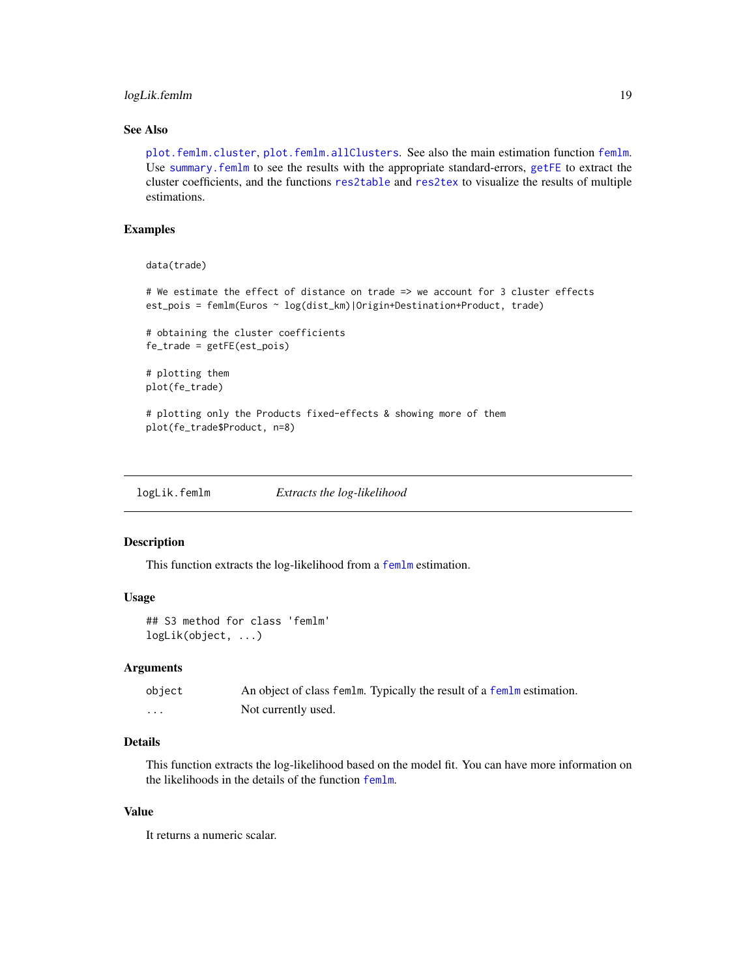# <span id="page-18-0"></span>logLik.femlm 19

# See Also

[plot.femlm.cluster](#page-23-1), [plot.femlm.allClusters](#page-22-1). See also the main estimation function [femlm](#page-8-1). Use [summary.femlm](#page-34-1) to see the results with the appropriate standard-errors, [getFE](#page-17-1) to extract the cluster coefficients, and the functions [res2table](#page-28-1) and [res2tex](#page-30-1) to visualize the results of multiple estimations.

# Examples

```
data(trade)
```

```
# We estimate the effect of distance on trade => we account for 3 cluster effects
est_pois = femlm(Euros ~ log(dist_km)|Origin+Destination+Product, trade)
```
# obtaining the cluster coefficients fe\_trade = getFE(est\_pois)

```
# plotting them
plot(fe_trade)
```
# plotting only the Products fixed-effects & showing more of them plot(fe\_trade\$Product, n=8)

<span id="page-18-1"></span>

| logLik.femlm | Extracts the log-likelihood |
|--------------|-----------------------------|
|              |                             |

#### Description

This function extracts the log-likelihood from a [femlm](#page-8-1) estimation.

# Usage

```
## S3 method for class 'femlm'
logLik(object, ...)
```
#### Arguments

| object   | An object of class femlm. Typically the result of a femlm estimation. |  |
|----------|-----------------------------------------------------------------------|--|
| $\cdots$ | Not currently used.                                                   |  |

# Details

This function extracts the log-likelihood based on the model fit. You can have more information on the likelihoods in the details of the function [femlm](#page-8-1).

# Value

It returns a numeric scalar.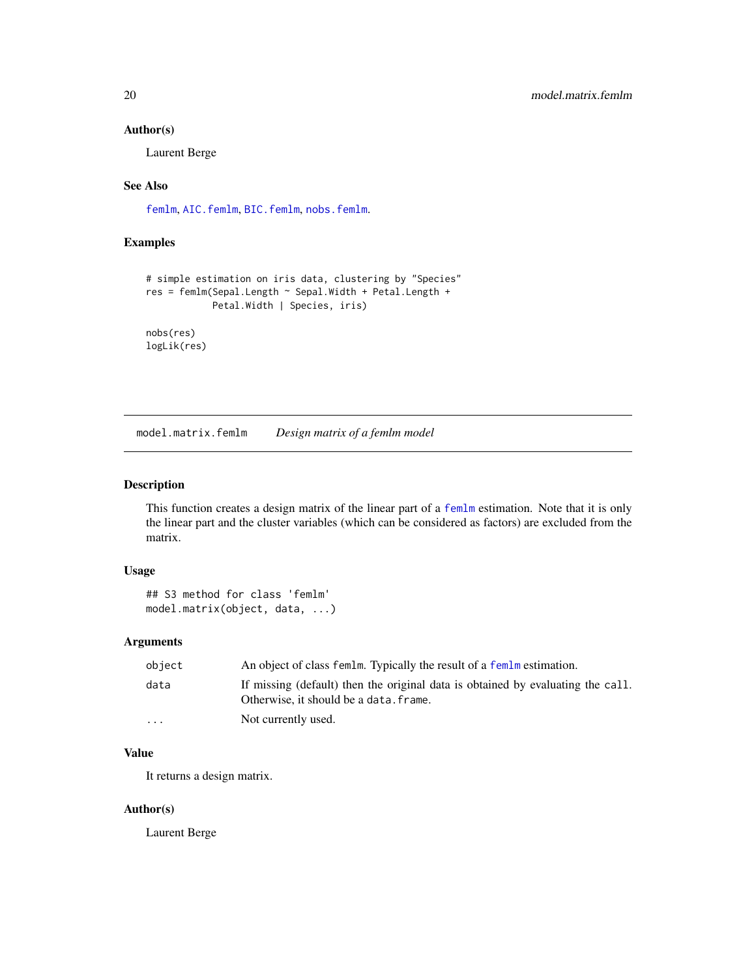# <span id="page-19-0"></span>Author(s)

Laurent Berge

#### See Also

[femlm](#page-8-1), [AIC.femlm](#page-2-1), [BIC.femlm](#page-3-1), [nobs.femlm](#page-20-1).

# Examples

```
# simple estimation on iris data, clustering by "Species"
res = femlm(Sepal.Length ~ Sepal.Width + Petal.Length +
            Petal.Width | Species, iris)
nobs(res)
logLik(res)
```
<span id="page-19-1"></span>model.matrix.femlm *Design matrix of a femlm model*

#### Description

This function creates a design matrix of the linear part of a [femlm](#page-8-1) estimation. Note that it is only the linear part and the cluster variables (which can be considered as factors) are excluded from the matrix.

# Usage

```
## S3 method for class 'femlm'
model.matrix(object, data, ...)
```
# Arguments

| object                  | An object of class femlm. Typically the result of a femlm estimation.                                                     |
|-------------------------|---------------------------------------------------------------------------------------------------------------------------|
| data                    | If missing (default) then the original data is obtained by evaluating the call.<br>Otherwise, it should be a data. frame. |
| $\cdot$ $\cdot$ $\cdot$ | Not currently used.                                                                                                       |

# Value

It returns a design matrix.

### Author(s)

Laurent Berge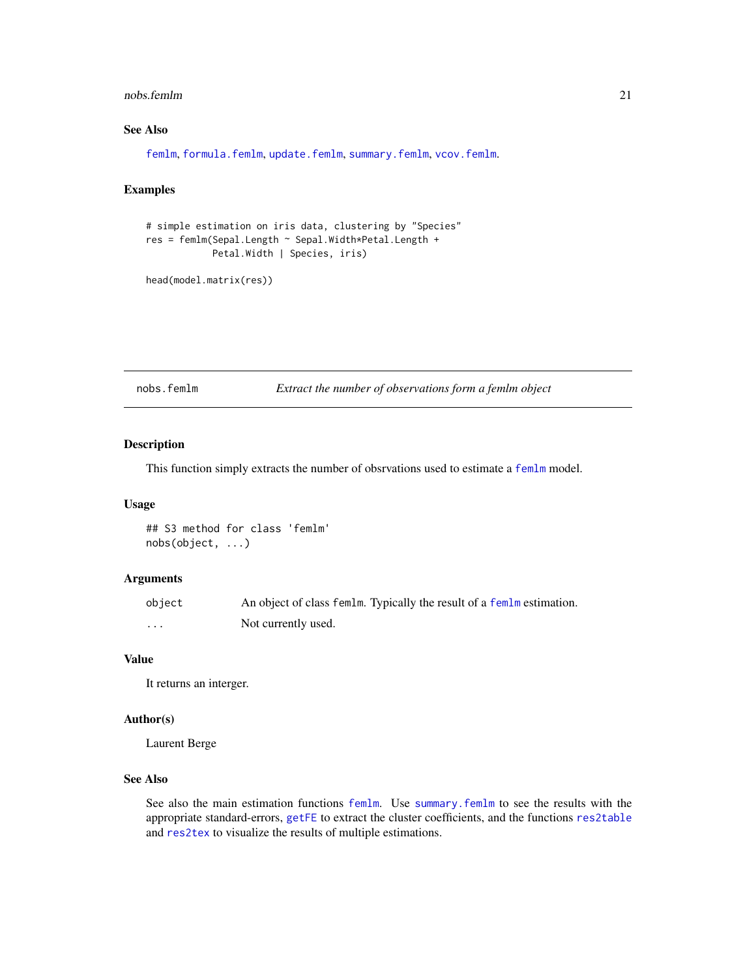#### <span id="page-20-0"></span>nobs.femlm 21

# See Also

[femlm](#page-8-1), [formula.femlm](#page-16-1), [update.femlm](#page-36-1), [summary.femlm](#page-34-1), [vcov.femlm](#page-37-1).

# Examples

```
# simple estimation on iris data, clustering by "Species"
res = femlm(Sepal.Length ~ Sepal.Width*Petal.Length +
            Petal.Width | Species, iris)
```

```
head(model.matrix(res))
```
<span id="page-20-1"></span>nobs.femlm *Extract the number of observations form a femlm object*

#### Description

This function simply extracts the number of obsrvations used to estimate a [femlm](#page-8-1) model.

### Usage

## S3 method for class 'femlm' nobs(object, ...)

#### Arguments

| object | An object of class femlm. Typically the result of a femlm estimation. |
|--------|-----------------------------------------------------------------------|
| .      | Not currently used.                                                   |

# Value

It returns an interger.

#### Author(s)

Laurent Berge

#### See Also

See also the main estimation functions [femlm](#page-8-1). Use [summary.femlm](#page-34-1) to see the results with the appropriate standard-errors, [getFE](#page-17-1) to extract the cluster coefficients, and the functions [res2table](#page-28-1) and [res2tex](#page-30-1) to visualize the results of multiple estimations.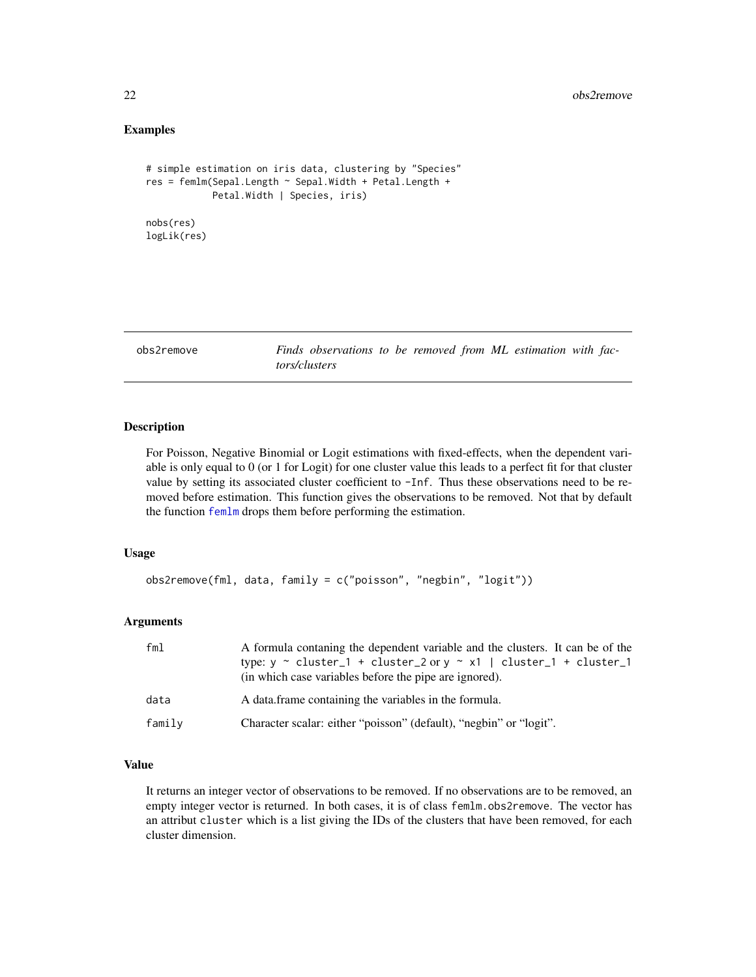#### <span id="page-21-0"></span>Examples

```
# simple estimation on iris data, clustering by "Species"
res = femlm(Sepal.Length ~ Sepal.Width + Petal.Length +
            Petal.Width | Species, iris)
nobs(res)
logLik(res)
```
<span id="page-21-1"></span>obs2remove *Finds observations to be removed from ML estimation with factors/clusters*

# **Description**

For Poisson, Negative Binomial or Logit estimations with fixed-effects, when the dependent variable is only equal to 0 (or 1 for Logit) for one cluster value this leads to a perfect fit for that cluster value by setting its associated cluster coefficient to -Inf. Thus these observations need to be removed before estimation. This function gives the observations to be removed. Not that by default the function [femlm](#page-8-1) drops them before performing the estimation.

#### Usage

```
obs2remove(fml, data, family = c("poisson", "negbin", "logit"))
```
#### Arguments

| fm1    | A formula contaning the dependent variable and the clusters. It can be of the<br>type: $y \sim$ cluster_1 + cluster_2 or $y \sim x1$   cluster_1 + cluster_1<br>(in which case variables before the pipe are ignored). |
|--------|------------------------------------------------------------------------------------------------------------------------------------------------------------------------------------------------------------------------|
| data   | A data frame containing the variables in the formula.                                                                                                                                                                  |
| family | Character scalar: either "poisson" (default), "negbin" or "logit".                                                                                                                                                     |

#### Value

It returns an integer vector of observations to be removed. If no observations are to be removed, an empty integer vector is returned. In both cases, it is of class femlm.obs2remove. The vector has an attribut cluster which is a list giving the IDs of the clusters that have been removed, for each cluster dimension.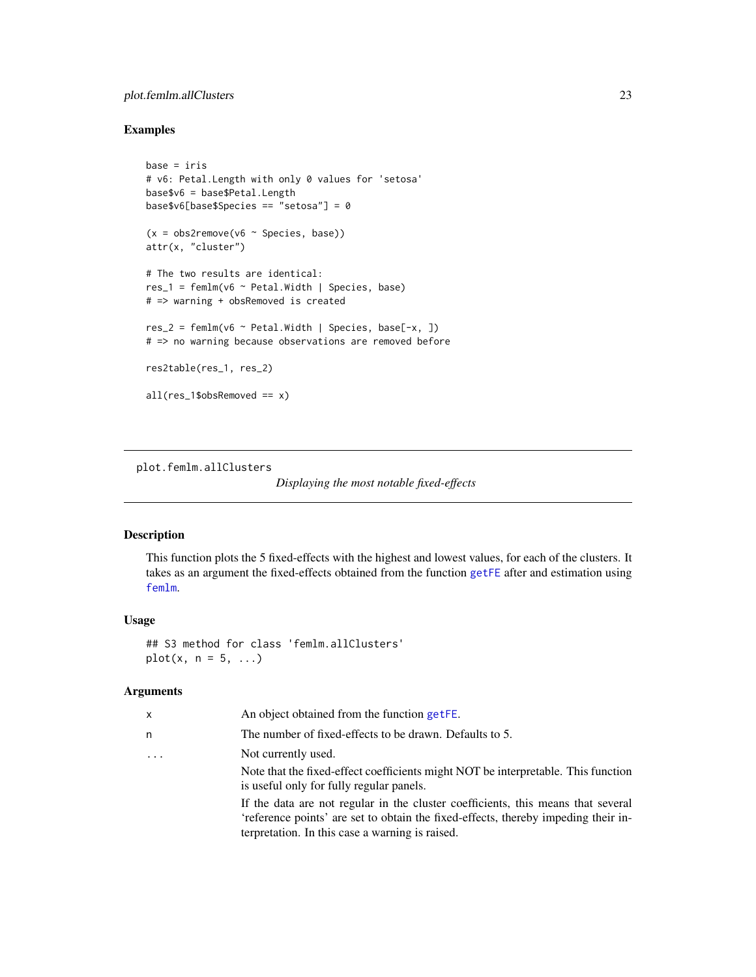# <span id="page-22-0"></span>plot.femlm.allClusters 23

#### Examples

```
base = iris
# v6: Petal.Length with only 0 values for 'setosa'
base$v6 = base$Petal.Length
base$v6[base$Species == "setosa"] = 0
(x = obs2remove(v6 ~ Species, base))
attr(x, "cluster")
# The two results are identical:
res_1 = femlm(v6 ~ Petal.Width | Species, base)
# => warning + obsRemoved is created
res_2 = femlm(v6 \sim Petal.Width | Species, base[-x, ])# => no warning because observations are removed before
res2table(res_1, res_2)
all(res_1$obsRemoved == x)
```
<span id="page-22-1"></span>plot.femlm.allClusters

```
Displaying the most notable fixed-effects
```
#### Description

This function plots the 5 fixed-effects with the highest and lowest values, for each of the clusters. It takes as an argument the fixed-effects obtained from the function [getFE](#page-17-1) after and estimation using [femlm](#page-8-1).

#### Usage

## S3 method for class 'femlm.allClusters' plot(x,  $n = 5, ...$ )

# Arguments

| x        | An object obtained from the function getFE.                                                                                                                                                                               |
|----------|---------------------------------------------------------------------------------------------------------------------------------------------------------------------------------------------------------------------------|
| n        | The number of fixed-effects to be drawn. Defaults to 5.                                                                                                                                                                   |
| $\cdots$ | Not currently used.                                                                                                                                                                                                       |
|          | Note that the fixed-effect coefficients might NOT be interpretable. This function<br>is useful only for fully regular panels.                                                                                             |
|          | If the data are not regular in the cluster coefficients, this means that several<br>'reference points' are set to obtain the fixed-effects, thereby impeding their in-<br>terpretation. In this case a warning is raised. |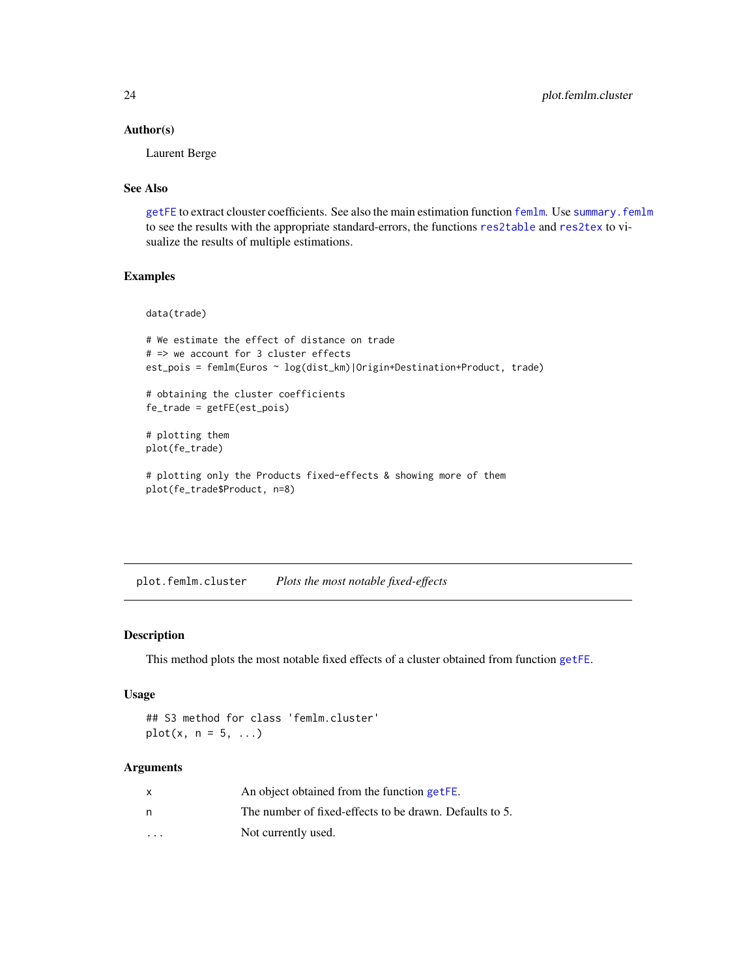#### Author(s)

Laurent Berge

## See Also

[getFE](#page-17-1) to extract clouster coefficients. See also the main estimation function [femlm](#page-8-1). Use [summary.femlm](#page-34-1) to see the results with the appropriate standard-errors, the functions [res2table](#page-28-1) and [res2tex](#page-30-1) to visualize the results of multiple estimations.

#### Examples

data(trade)

```
# We estimate the effect of distance on trade
# => we account for 3 cluster effects
est_pois = femlm(Euros ~ log(dist_km)|Origin+Destination+Product, trade)
# obtaining the cluster coefficients
fe_trade = getFE(est_pois)
# plotting them
plot(fe_trade)
# plotting only the Products fixed-effects & showing more of them
plot(fe_trade$Product, n=8)
```
<span id="page-23-1"></span>plot.femlm.cluster *Plots the most notable fixed-effects*

#### Description

This method plots the most notable fixed effects of a cluster obtained from function [getFE](#page-17-1).

#### Usage

## S3 method for class 'femlm.cluster'  $plot(x, n = 5, ...)$ 

#### Arguments

|                         | An object obtained from the function getFE.             |
|-------------------------|---------------------------------------------------------|
| n                       | The number of fixed-effects to be drawn. Defaults to 5. |
| $\cdot$ $\cdot$ $\cdot$ | Not currently used.                                     |

<span id="page-23-0"></span>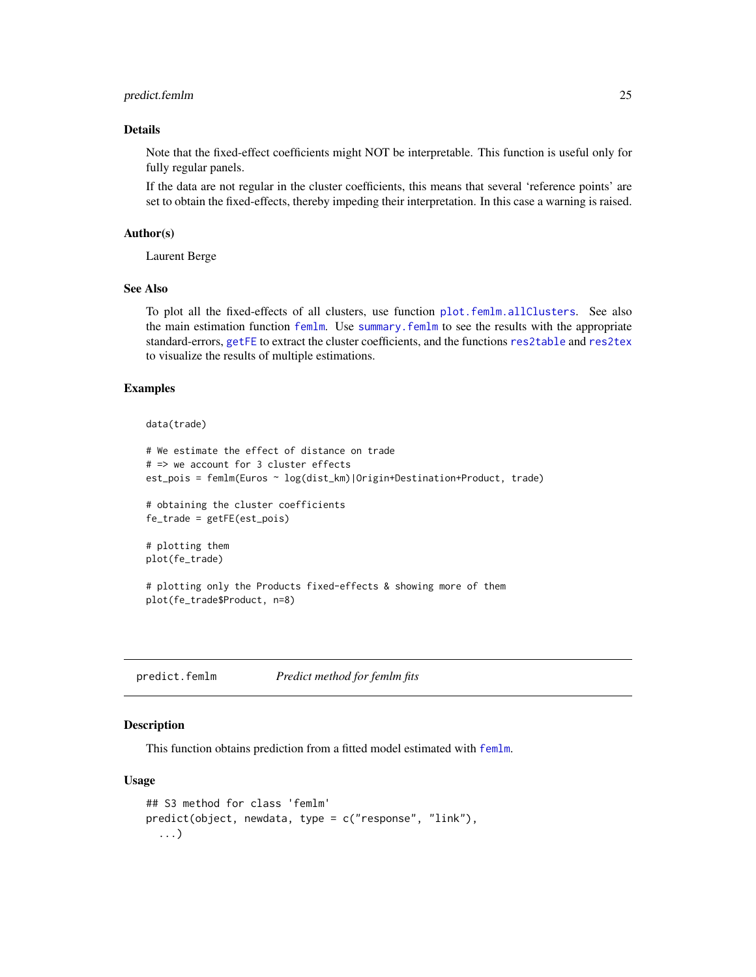# <span id="page-24-0"></span>predict.femlm 25

# Details

Note that the fixed-effect coefficients might NOT be interpretable. This function is useful only for fully regular panels.

If the data are not regular in the cluster coefficients, this means that several 'reference points' are set to obtain the fixed-effects, thereby impeding their interpretation. In this case a warning is raised.

#### Author(s)

Laurent Berge

#### See Also

To plot all the fixed-effects of all clusters, use function [plot.femlm.allClusters](#page-22-1). See also the main estimation function [femlm](#page-8-1). Use [summary.femlm](#page-34-1) to see the results with the appropriate standard-errors, [getFE](#page-17-1) to extract the cluster coefficients, and the functions [res2table](#page-28-1) and [res2tex](#page-30-1) to visualize the results of multiple estimations.

### Examples

data(trade)

```
# We estimate the effect of distance on trade
# => we account for 3 cluster effects
est_pois = femlm(Euros ~ log(dist_km)|Origin+Destination+Product, trade)
# obtaining the cluster coefficients
fe_trade = getFE(est_pois)
# plotting them
plot(fe_trade)
# plotting only the Products fixed-effects & showing more of them
plot(fe_trade$Product, n=8)
```
<span id="page-24-1"></span>predict.femlm *Predict method for femlm fits*

# Description

This function obtains prediction from a fitted model estimated with [femlm](#page-8-1).

#### Usage

```
## S3 method for class 'femlm'
predict(object, newdata, type = c("response", "link"),
  ...)
```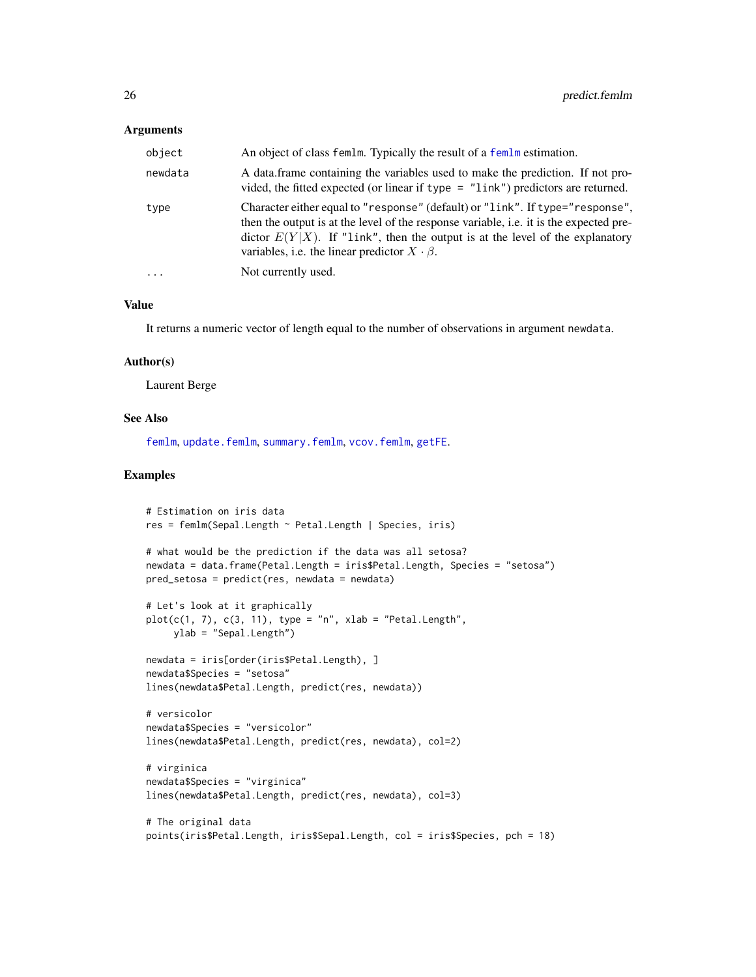#### <span id="page-25-0"></span>**Arguments**

| newdata  | A data frame containing the variables used to make the prediction. If not pro-<br>vided, the fitted expected (or linear if type $=$ "link") predictors are returned.                                                                                                                                                        |
|----------|-----------------------------------------------------------------------------------------------------------------------------------------------------------------------------------------------------------------------------------------------------------------------------------------------------------------------------|
| type     | Character either equal to "response" (default) or "link". If type="response",<br>then the output is at the level of the response variable, <i>i.e.</i> it is the expected pre-<br>dictor $E(Y X)$ . If "link", then the output is at the level of the explanatory<br>variables, i.e. the linear predictor $X \cdot \beta$ . |
| $\cdots$ | Not currently used.                                                                                                                                                                                                                                                                                                         |

# Value

It returns a numeric vector of length equal to the number of observations in argument newdata.

#### Author(s)

Laurent Berge

#### See Also

[femlm](#page-8-1), [update.femlm](#page-36-1), [summary.femlm](#page-34-1), [vcov.femlm](#page-37-1), [getFE](#page-17-1).

#### Examples

```
# Estimation on iris data
res = femlm(Sepal.Length ~ Petal.Length | Species, iris)
# what would be the prediction if the data was all setosa?
newdata = data.frame(Petal.Length = iris$Petal.Length, Species = "setosa")
pred\_sets = predict(res, newdata = newdata)# Let's look at it graphically
plot(c(1, 7), c(3, 11), type = "n", xlab = "Petal.length",ylab = "Sepal.Length")
newdata = iris[order(iris$Petal.Length), ]
newdata$Species = "setosa"
lines(newdata$Petal.Length, predict(res, newdata))
# versicolor
newdata$Species = "versicolor"
lines(newdata$Petal.Length, predict(res, newdata), col=2)
# virginica
newdata$Species = "virginica"
lines(newdata$Petal.Length, predict(res, newdata), col=3)
# The original data
points(iris$Petal.Length, iris$Sepal.Length, col = iris$Species, pch = 18)
```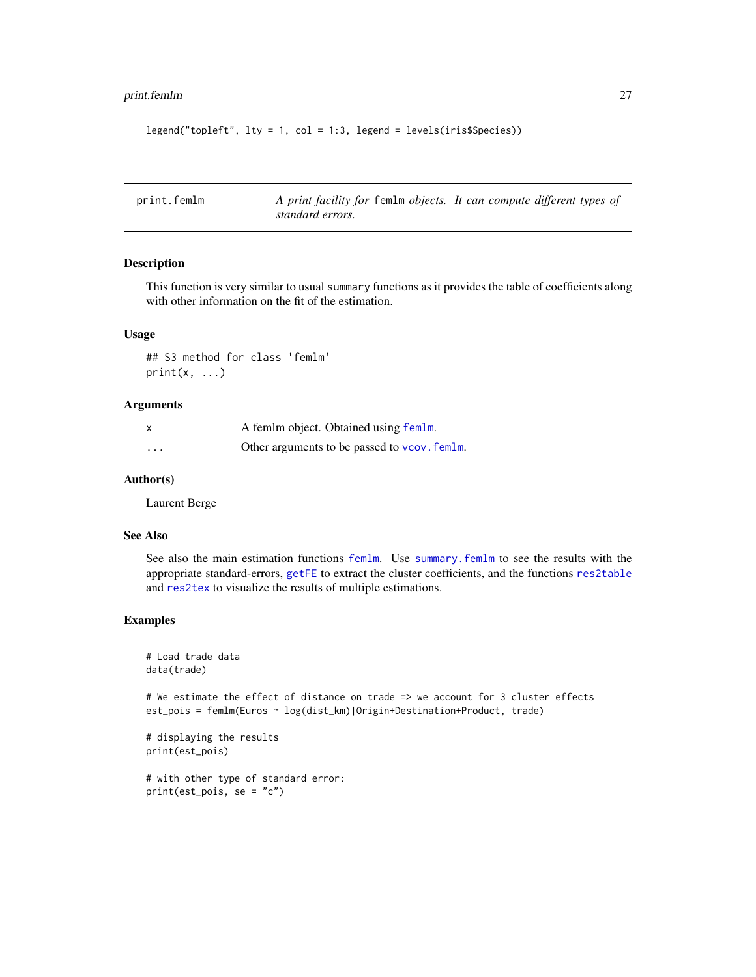# <span id="page-26-0"></span>print.femlm 27

```
legend("topleft", lty = 1, col = 1:3, legend = levels(iris$Species))
```

| print.femlm | A print facility for femlm objects. It can compute different types of |  |
|-------------|-----------------------------------------------------------------------|--|
|             | standard errors.                                                      |  |

# Description

This function is very similar to usual summary functions as it provides the table of coefficients along with other information on the fit of the estimation.

# Usage

## S3 method for class 'femlm'  $print(x, \ldots)$ 

#### Arguments

|                         | A femlm object. Obtained using femlm.        |
|-------------------------|----------------------------------------------|
| $\cdot$ $\cdot$ $\cdot$ | Other arguments to be passed to vcov. femlm. |

#### Author(s)

Laurent Berge

### See Also

See also the main estimation functions [femlm](#page-8-1). Use [summary.femlm](#page-34-1) to see the results with the appropriate standard-errors, [getFE](#page-17-1) to extract the cluster coefficients, and the functions [res2table](#page-28-1) and [res2tex](#page-30-1) to visualize the results of multiple estimations.

# Examples

```
# Load trade data
data(trade)
```
# We estimate the effect of distance on trade => we account for 3 cluster effects est\_pois = femlm(Euros ~ log(dist\_km)|Origin+Destination+Product, trade)

```
# displaying the results
print(est_pois)
```
# with other type of standard error: print(est\_pois, se = "c")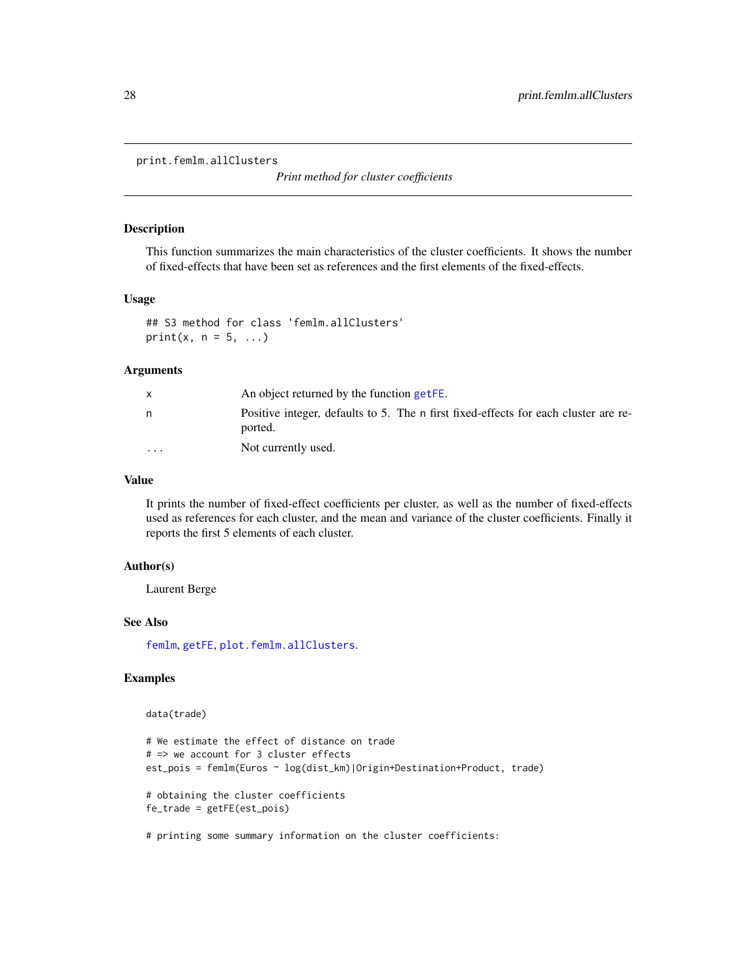<span id="page-27-0"></span>print.femlm.allClusters

*Print method for cluster coefficients*

#### Description

This function summarizes the main characteristics of the cluster coefficients. It shows the number of fixed-effects that have been set as references and the first elements of the fixed-effects.

# Usage

## S3 method for class 'femlm.allClusters' print(x,  $n = 5, ...$ )

#### **Arguments**

|         | An object returned by the function getFE.                                                      |
|---------|------------------------------------------------------------------------------------------------|
| n       | Positive integer, defaults to 5. The n first fixed-effects for each cluster are re-<br>ported. |
| $\cdot$ | Not currently used.                                                                            |

### Value

It prints the number of fixed-effect coefficients per cluster, as well as the number of fixed-effects used as references for each cluster, and the mean and variance of the cluster coefficients. Finally it reports the first 5 elements of each cluster.

## Author(s)

Laurent Berge

#### See Also

[femlm](#page-8-1), [getFE](#page-17-1), [plot.femlm.allClusters](#page-22-1).

# Examples

#### data(trade)

```
# We estimate the effect of distance on trade
# => we account for 3 cluster effects
est_pois = femlm(Euros ~ log(dist_km)|Origin+Destination+Product, trade)
# obtaining the cluster coefficients
fe_trade = getFE(est_pois)
```
# printing some summary information on the cluster coefficients: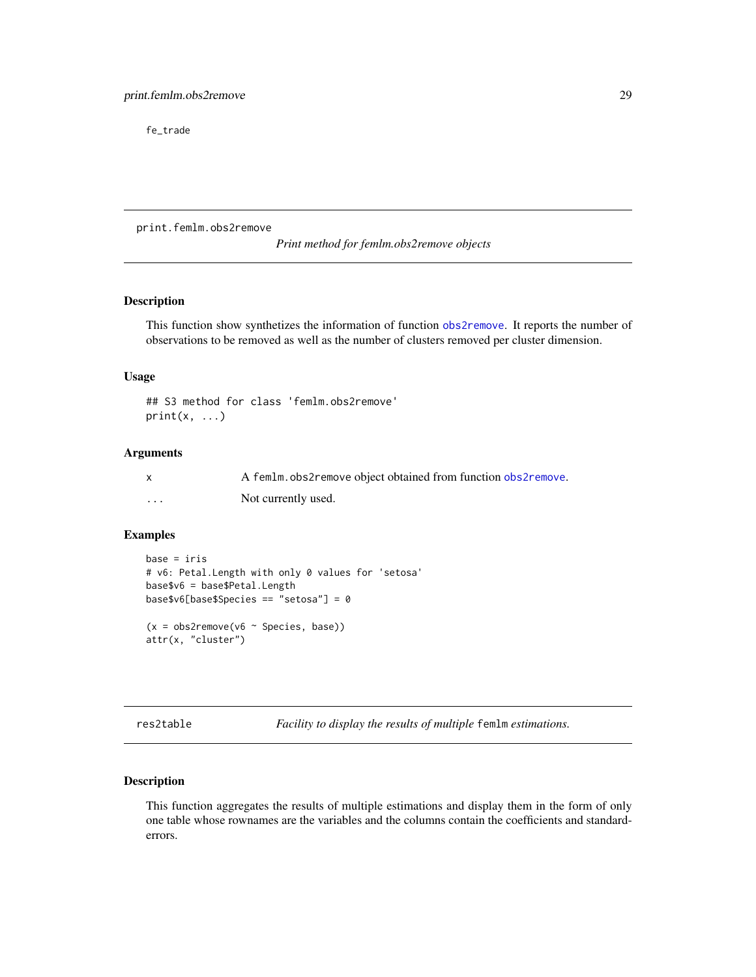<span id="page-28-0"></span>fe\_trade

print.femlm.obs2remove

*Print method for femlm.obs2remove objects*

#### Description

This function show synthetizes the information of function [obs2remove](#page-21-1). It reports the number of observations to be removed as well as the number of clusters removed per cluster dimension.

#### Usage

```
## S3 method for class 'femlm.obs2remove'
print(x, \ldots)
```
#### Arguments

|   | A femlm. obs2remove object obtained from function obs2remove. |
|---|---------------------------------------------------------------|
| . | Not currently used.                                           |

### Examples

```
base = iris
# v6: Petal.Length with only 0 values for 'setosa'
base$v6 = base$Petal.Length
base$v6[base$Species == "setosa"] = 0
(x = obs2remove(v6 ~ Species, base))
attr(x, "cluster")
```
<span id="page-28-1"></span>res2table *Facility to display the results of multiple* femlm *estimations.*

# Description

This function aggregates the results of multiple estimations and display them in the form of only one table whose rownames are the variables and the columns contain the coefficients and standarderrors.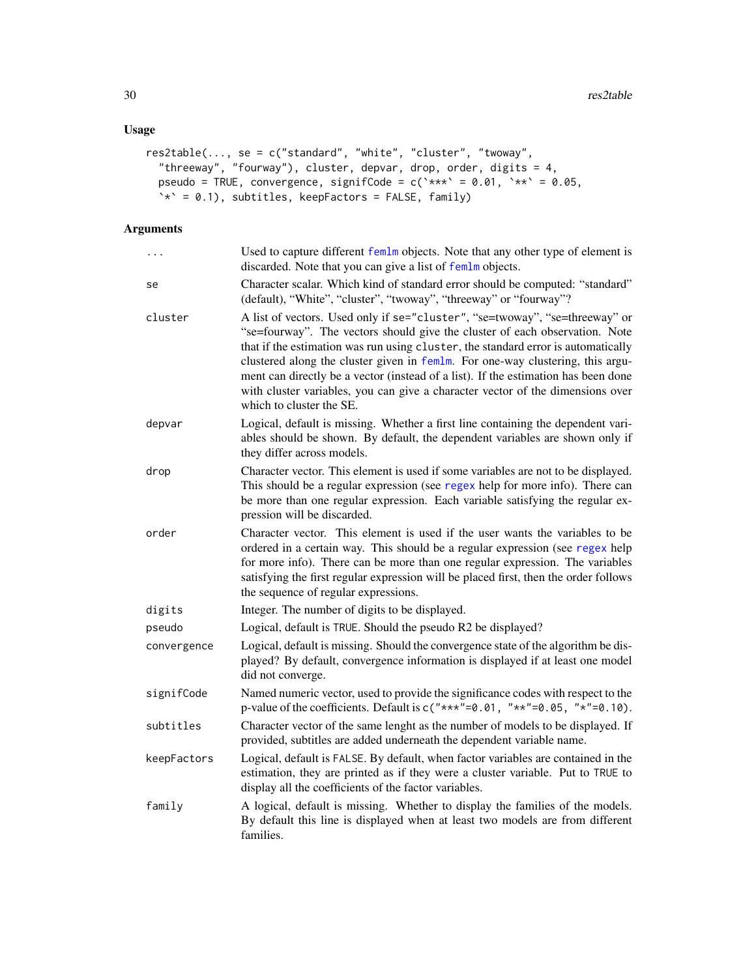# <span id="page-29-0"></span>Usage

```
res2table(..., se = c("standard", "white", "cluster", "twoway",
  "threeway", "fourway"), cluster, depvar, drop, order, digits = 4,
 pseudo = TRUE, convergence, signifCode = c(`***` = 0.01, `**` = 0.05,
  \dot{x} = 0.1, subtitles, keepFactors = FALSE, family)
```
# Arguments

| .           | Used to capture different femlm objects. Note that any other type of element is<br>discarded. Note that you can give a list of femlm objects.                                                                                                                                                                                                                                                                                                                                                                                         |
|-------------|---------------------------------------------------------------------------------------------------------------------------------------------------------------------------------------------------------------------------------------------------------------------------------------------------------------------------------------------------------------------------------------------------------------------------------------------------------------------------------------------------------------------------------------|
| se          | Character scalar. Which kind of standard error should be computed: "standard"<br>(default), "White", "cluster", "twoway", "threeway" or "fourway"?                                                                                                                                                                                                                                                                                                                                                                                    |
| cluster     | A list of vectors. Used only if se="cluster", "se=twoway", "se=threeway" or<br>"se=fourway". The vectors should give the cluster of each observation. Note<br>that if the estimation was run using cluster, the standard error is automatically<br>clustered along the cluster given in femlm. For one-way clustering, this argu-<br>ment can directly be a vector (instead of a list). If the estimation has been done<br>with cluster variables, you can give a character vector of the dimensions over<br>which to cluster the SE. |
| depvar      | Logical, default is missing. Whether a first line containing the dependent vari-<br>ables should be shown. By default, the dependent variables are shown only if<br>they differ across models.                                                                                                                                                                                                                                                                                                                                        |
| drop        | Character vector. This element is used if some variables are not to be displayed.<br>This should be a regular expression (see regex help for more info). There can<br>be more than one regular expression. Each variable satisfying the regular ex-<br>pression will be discarded.                                                                                                                                                                                                                                                    |
| order       | Character vector. This element is used if the user wants the variables to be<br>ordered in a certain way. This should be a regular expression (see regex help<br>for more info). There can be more than one regular expression. The variables<br>satisfying the first regular expression will be placed first, then the order follows<br>the sequence of regular expressions.                                                                                                                                                         |
| digits      | Integer. The number of digits to be displayed.                                                                                                                                                                                                                                                                                                                                                                                                                                                                                        |
| pseudo      | Logical, default is TRUE. Should the pseudo R2 be displayed?                                                                                                                                                                                                                                                                                                                                                                                                                                                                          |
| convergence | Logical, default is missing. Should the convergence state of the algorithm be dis-<br>played? By default, convergence information is displayed if at least one model<br>did not converge.                                                                                                                                                                                                                                                                                                                                             |
| signifCode  | Named numeric vector, used to provide the significance codes with respect to the<br>p-value of the coefficients. Default is $c("***" = 0.01, "**" = 0.05, "*" = 0.10)$ .                                                                                                                                                                                                                                                                                                                                                              |
| subtitles   | Character vector of the same lenght as the number of models to be displayed. If<br>provided, subtitles are added underneath the dependent variable name.                                                                                                                                                                                                                                                                                                                                                                              |
| keepFactors | Logical, default is FALSE. By default, when factor variables are contained in the<br>estimation, they are printed as if they were a cluster variable. Put to TRUE to<br>display all the coefficients of the factor variables.                                                                                                                                                                                                                                                                                                         |
| family      | A logical, default is missing. Whether to display the families of the models.<br>By default this line is displayed when at least two models are from different<br>families.                                                                                                                                                                                                                                                                                                                                                           |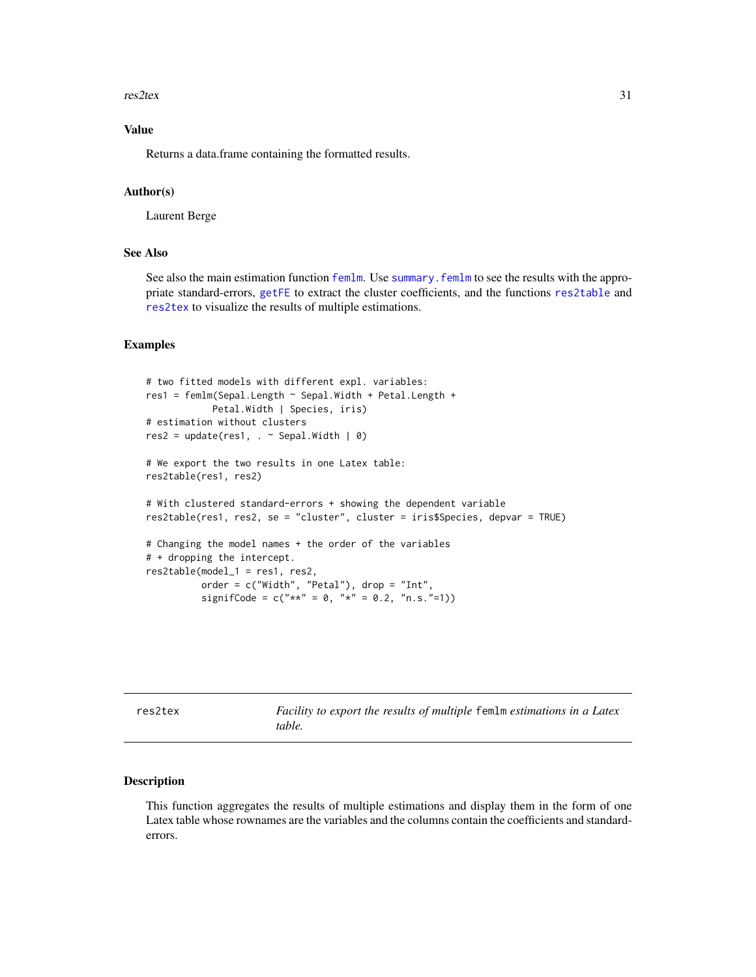#### <span id="page-30-0"></span>res2tex 31

# Value

Returns a data.frame containing the formatted results.

#### Author(s)

Laurent Berge

#### See Also

See also the main estimation function [femlm](#page-8-1). Use [summary.femlm](#page-34-1) to see the results with the appropriate standard-errors, [getFE](#page-17-1) to extract the cluster coefficients, and the functions [res2table](#page-28-1) and [res2tex](#page-30-1) to visualize the results of multiple estimations.

#### Examples

```
# two fitted models with different expl. variables:
res1 = femlm(Sepal.Length ~ Sepal.Width + Petal.Length +
            Petal.Width | Species, iris)
# estimation without clusters
res2 = update(res1, . ~ ~ Sepal.Width ~ | ~ 0)# We export the two results in one Latex table:
res2table(res1, res2)
# With clustered standard-errors + showing the dependent variable
res2table(res1, res2, se = "cluster", cluster = iris$Species, depvar = TRUE)
# Changing the model names + the order of the variables
# + dropping the intercept.
res2table(model_1 = res1, res2,
         order = c("Width", "Petal"), drop = "Int",
          signifCode = c("**" = 0, "*" = 0.2, "n.s." = 1)
```
<span id="page-30-1"></span>res2tex *Facility to export the results of multiple* femlm *estimations in a Latex table.*

#### Description

This function aggregates the results of multiple estimations and display them in the form of one Latex table whose rownames are the variables and the columns contain the coefficients and standarderrors.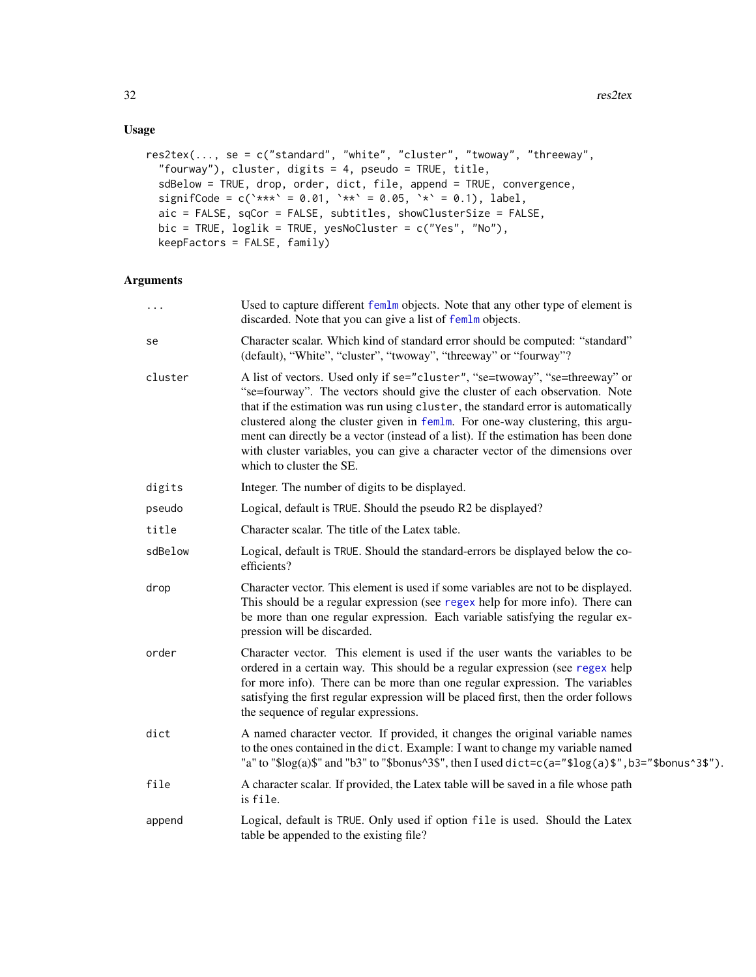# <span id="page-31-0"></span>Usage

```
res2tex(..., se = c("standard", "white", "cluster", "twoway", "threeway",
  "fourway"), cluster, digits = 4, pseudo = TRUE, title,
  sdBelow = TRUE, drop, order, dict, file, append = TRUE, convergence,
 signifCode = c(\text{***} = 0.01, \text{***} = 0.05, \text{**} = 0.1), label,
 aic = FALSE, sqCor = FALSE, subtitles, showClusterSize = FALSE,
 bic = TRUE, loglik = TRUE, yesNoCluster = c("Yes", "No"),
 keepFactors = FALSE, family)
```
# Arguments

| .       | Used to capture different femlm objects. Note that any other type of element is<br>discarded. Note that you can give a list of femlm objects.                                                                                                                                                                                                                                                                                                                                                                                         |
|---------|---------------------------------------------------------------------------------------------------------------------------------------------------------------------------------------------------------------------------------------------------------------------------------------------------------------------------------------------------------------------------------------------------------------------------------------------------------------------------------------------------------------------------------------|
| se      | Character scalar. Which kind of standard error should be computed: "standard"<br>(default), "White", "cluster", "twoway", "threeway" or "fourway"?                                                                                                                                                                                                                                                                                                                                                                                    |
| cluster | A list of vectors. Used only if se="cluster", "se=twoway", "se=threeway" or<br>"se=fourway". The vectors should give the cluster of each observation. Note<br>that if the estimation was run using cluster, the standard error is automatically<br>clustered along the cluster given in femlm. For one-way clustering, this argu-<br>ment can directly be a vector (instead of a list). If the estimation has been done<br>with cluster variables, you can give a character vector of the dimensions over<br>which to cluster the SE. |
| digits  | Integer. The number of digits to be displayed.                                                                                                                                                                                                                                                                                                                                                                                                                                                                                        |
| pseudo  | Logical, default is TRUE. Should the pseudo R2 be displayed?                                                                                                                                                                                                                                                                                                                                                                                                                                                                          |
| title   | Character scalar. The title of the Latex table.                                                                                                                                                                                                                                                                                                                                                                                                                                                                                       |
| sdBelow | Logical, default is TRUE. Should the standard-errors be displayed below the co-<br>efficients?                                                                                                                                                                                                                                                                                                                                                                                                                                        |
| drop    | Character vector. This element is used if some variables are not to be displayed.<br>This should be a regular expression (see regex help for more info). There can<br>be more than one regular expression. Each variable satisfying the regular ex-<br>pression will be discarded.                                                                                                                                                                                                                                                    |
| order   | Character vector. This element is used if the user wants the variables to be<br>ordered in a certain way. This should be a regular expression (see regex help<br>for more info). There can be more than one regular expression. The variables<br>satisfying the first regular expression will be placed first, then the order follows<br>the sequence of regular expressions.                                                                                                                                                         |
| dict    | A named character vector. If provided, it changes the original variable names<br>to the ones contained in the dict. Example: I want to change my variable named<br>"a" to "\$log(a)\$" and "b3" to "\$bonus^3\$", then I used dict=c(a="\$log(a)\$", b3="\$bonus^3\$").                                                                                                                                                                                                                                                               |
| file    | A character scalar. If provided, the Latex table will be saved in a file whose path<br>is file.                                                                                                                                                                                                                                                                                                                                                                                                                                       |
| append  | Logical, default is TRUE. Only used if option file is used. Should the Latex<br>table be appended to the existing file?                                                                                                                                                                                                                                                                                                                                                                                                               |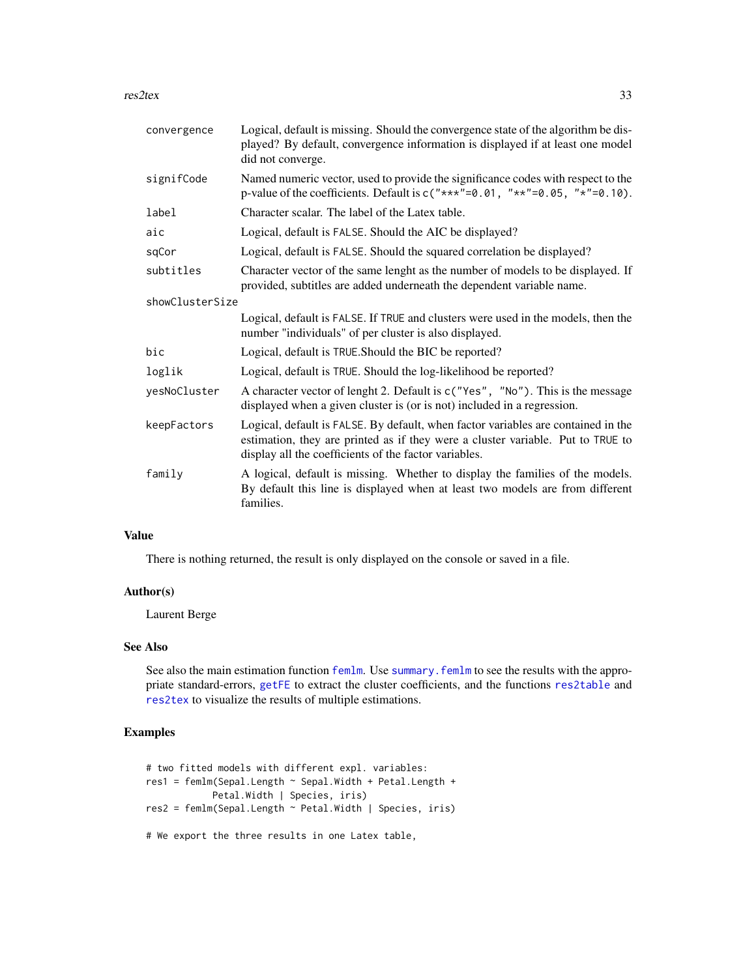<span id="page-32-0"></span>res2tex 33

| convergence     | Logical, default is missing. Should the convergence state of the algorithm be dis-<br>played? By default, convergence information is displayed if at least one model<br>did not converge.                                     |
|-----------------|-------------------------------------------------------------------------------------------------------------------------------------------------------------------------------------------------------------------------------|
| signifCode      | Named numeric vector, used to provide the significance codes with respect to the<br>p-value of the coefficients. Default is $c("***" = 0.01, "**" = 0.05, "*" = 0.10)$ .                                                      |
| label           | Character scalar. The label of the Latex table.                                                                                                                                                                               |
| aic             | Logical, default is FALSE. Should the AIC be displayed?                                                                                                                                                                       |
| sqCor           | Logical, default is FALSE. Should the squared correlation be displayed?                                                                                                                                                       |
| subtitles       | Character vector of the same lenght as the number of models to be displayed. If<br>provided, subtitles are added underneath the dependent variable name.                                                                      |
| showClusterSize |                                                                                                                                                                                                                               |
|                 | Logical, default is FALSE. If TRUE and clusters were used in the models, then the<br>number "individuals" of per cluster is also displayed.                                                                                   |
| bic             | Logical, default is TRUE. Should the BIC be reported?                                                                                                                                                                         |
| loglik          | Logical, default is TRUE. Should the log-likelihood be reported?                                                                                                                                                              |
| yesNoCluster    | A character vector of lenght 2. Default is c("Yes", "No"). This is the message<br>displayed when a given cluster is (or is not) included in a regression.                                                                     |
| keepFactors     | Logical, default is FALSE. By default, when factor variables are contained in the<br>estimation, they are printed as if they were a cluster variable. Put to TRUE to<br>display all the coefficients of the factor variables. |
| family          | A logical, default is missing. Whether to display the families of the models.<br>By default this line is displayed when at least two models are from different<br>families.                                                   |

# Value

There is nothing returned, the result is only displayed on the console or saved in a file.

#### Author(s)

Laurent Berge

# See Also

See also the main estimation function [femlm](#page-8-1). Use summary. femlm to see the results with the appropriate standard-errors, [getFE](#page-17-1) to extract the cluster coefficients, and the functions [res2table](#page-28-1) and [res2tex](#page-30-1) to visualize the results of multiple estimations.

# Examples

```
# two fitted models with different expl. variables:
res1 = femlm(Sepal.Length ~ Sepal.Width + Petal.Length +
           Petal.Width | Species, iris)
res2 = femlm(Sepal.Length ~ Petal.Width | Species, iris)
# We export the three results in one Latex table,
```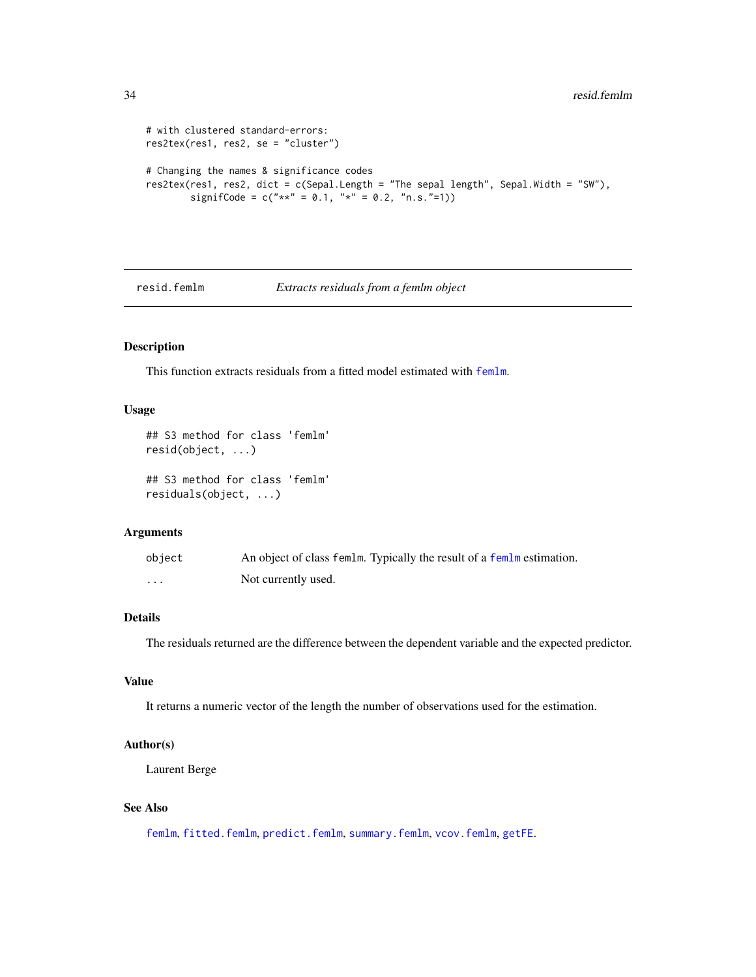```
# with clustered standard-errors:
res2tex(res1, res2, se = "cluster")
# Changing the names & significance codes
res2tex(res1, res2, dict = c(Sepal.Length = "The sepal length", Sepal.Width = "SW"),
       signifCode = c("**" = 0.1, "*" = 0.2, "n.s." = 1)
```
#### <span id="page-33-1"></span>resid.femlm *Extracts residuals from a femlm object*

# Description

This function extracts residuals from a fitted model estimated with [femlm](#page-8-1).

#### Usage

```
## S3 method for class 'femlm'
resid(object, ...)
## S3 method for class 'femlm'
residuals(object, ...)
```
#### Arguments

| object   | An object of class femlm. Typically the result of a femlm estimation. |
|----------|-----------------------------------------------------------------------|
| $\cdots$ | Not currently used.                                                   |

# Details

The residuals returned are the difference between the dependent variable and the expected predictor.

#### Value

It returns a numeric vector of the length the number of observations used for the estimation.

#### Author(s)

Laurent Berge

# See Also

[femlm](#page-8-1), [fitted.femlm](#page-14-1), [predict.femlm](#page-24-1), [summary.femlm](#page-34-1), [vcov.femlm](#page-37-1), [getFE](#page-17-1).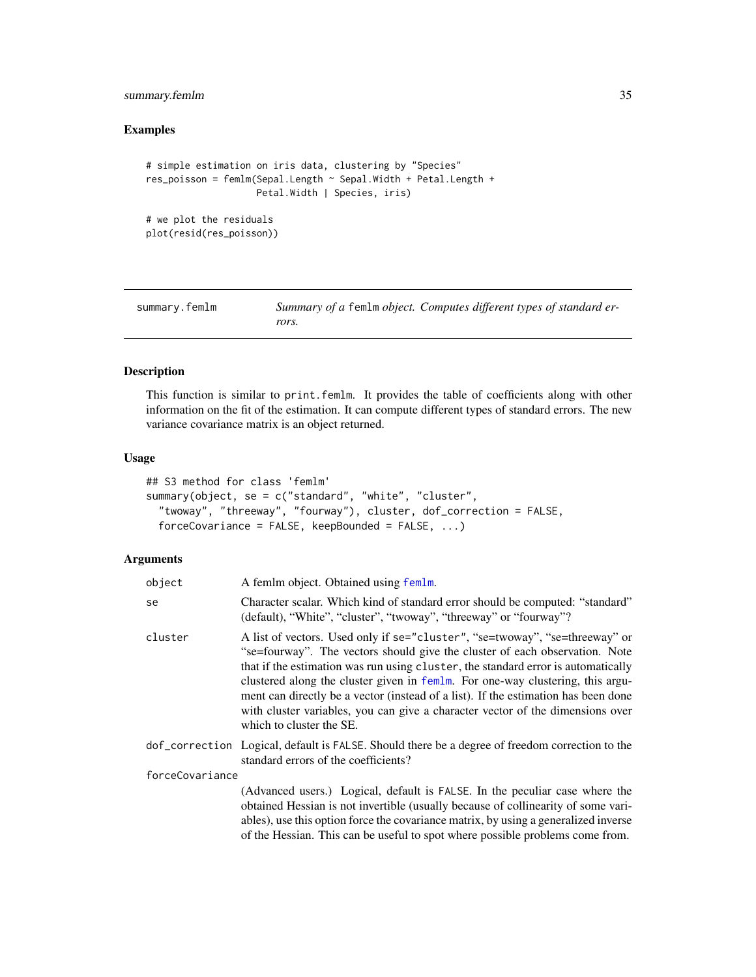# <span id="page-34-0"></span>summary.femlm 35

# Examples

```
# simple estimation on iris data, clustering by "Species"
res_poisson = femlm(Sepal.Length ~ Sepal.Width + Petal.Length +
                   Petal.Width | Species, iris)
```

```
# we plot the residuals
plot(resid(res_poisson))
```
<span id="page-34-1"></span>summary.femlm *Summary of a* femlm *object. Computes different types of standard errors.*

#### Description

This function is similar to print.femlm. It provides the table of coefficients along with other information on the fit of the estimation. It can compute different types of standard errors. The new variance covariance matrix is an object returned.

### Usage

```
## S3 method for class 'femlm'
summary(object, se = c("standard", "white", "cluster",
  "twoway", "threeway", "fourway"), cluster, dof_correction = FALSE,
  forceCovariance = FALSE, keepBounded = FALSE, \dots)
```
# Arguments

| object          | A femlm object. Obtained using femlm.                                                                                                                                                                                                                                                                                                                                                                                                                                                                                                 |
|-----------------|---------------------------------------------------------------------------------------------------------------------------------------------------------------------------------------------------------------------------------------------------------------------------------------------------------------------------------------------------------------------------------------------------------------------------------------------------------------------------------------------------------------------------------------|
| se              | Character scalar. Which kind of standard error should be computed: "standard"<br>(default), "White", "cluster", "twoway", "threeway" or "fourway"?                                                                                                                                                                                                                                                                                                                                                                                    |
| cluster         | A list of vectors. Used only if se="cluster", "se=twoway", "se=threeway" or<br>"se=fourway". The vectors should give the cluster of each observation. Note<br>that if the estimation was run using cluster, the standard error is automatically<br>clustered along the cluster given in femlm. For one-way clustering, this argu-<br>ment can directly be a vector (instead of a list). If the estimation has been done<br>with cluster variables, you can give a character vector of the dimensions over<br>which to cluster the SE. |
|                 | dof_correction Logical, default is FALSE. Should there be a degree of freedom correction to the<br>standard errors of the coefficients?                                                                                                                                                                                                                                                                                                                                                                                               |
| forceCovariance |                                                                                                                                                                                                                                                                                                                                                                                                                                                                                                                                       |
|                 | (Advanced users.) Logical, default is FALSE. In the peculiar case where the<br>obtained Hessian is not invertible (usually because of collinearity of some vari-<br>ables), use this option force the covariance matrix, by using a generalized inverse<br>of the Hessian. This can be useful to spot where possible problems come from.                                                                                                                                                                                              |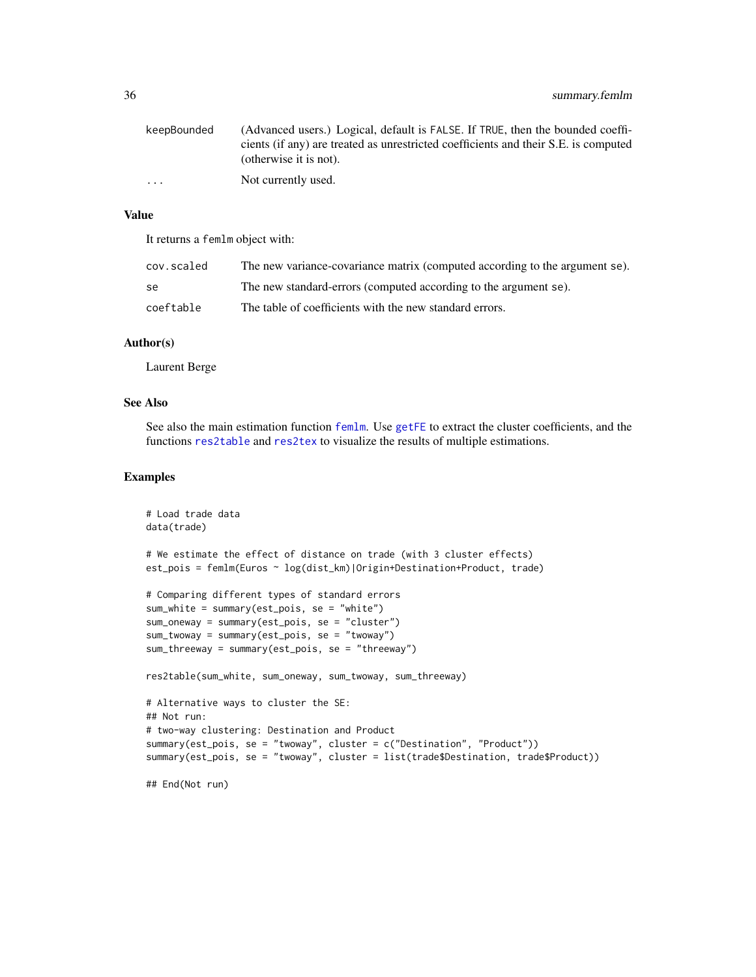# <span id="page-35-0"></span>36 summary.femlm

| keepBounded | (Advanced users.) Logical, default is FALSE. If TRUE, then the bounded coeffi-      |
|-------------|-------------------------------------------------------------------------------------|
|             | cients (if any) are treated as unrestricted coefficients and their S.E. is computed |
|             | (otherwise it is not).                                                              |
| $\cdots$    | Not currently used.                                                                 |

#### Value

It returns a femlm object with:

| cov.scaled | The new variance-covariance matrix (computed according to the argument se). |
|------------|-----------------------------------------------------------------------------|
| -se        | The new standard-errors (computed according to the argument se).            |
| coeftable  | The table of coefficients with the new standard errors.                     |

#### Author(s)

Laurent Berge

# See Also

See also the main estimation function [femlm](#page-8-1). Use [getFE](#page-17-1) to extract the cluster coefficients, and the functions [res2table](#page-28-1) and [res2tex](#page-30-1) to visualize the results of multiple estimations.

# Examples

```
# Load trade data
data(trade)
# We estimate the effect of distance on trade (with 3 cluster effects)
est_pois = femlm(Euros ~ log(dist_km)|Origin+Destination+Product, trade)
# Comparing different types of standard errors
sum_white = summary(est_pois, se = "white")
sum_oneway = summary(est_pois, se = "cluster")
sum_twoway = summary(est_pois, se = "twoway")
sum_threeway = summary(est_pois, se = "threeway")
res2table(sum_white, sum_oneway, sum_twoway, sum_threeway)
# Alternative ways to cluster the SE:
## Not run:
# two-way clustering: Destination and Product
summary(est_pois, se = "twoway", cluster = c("Destination", "Product"))
summary(est_pois, se = "twoway", cluster = list(trade$Destination, trade$Product))
## End(Not run)
```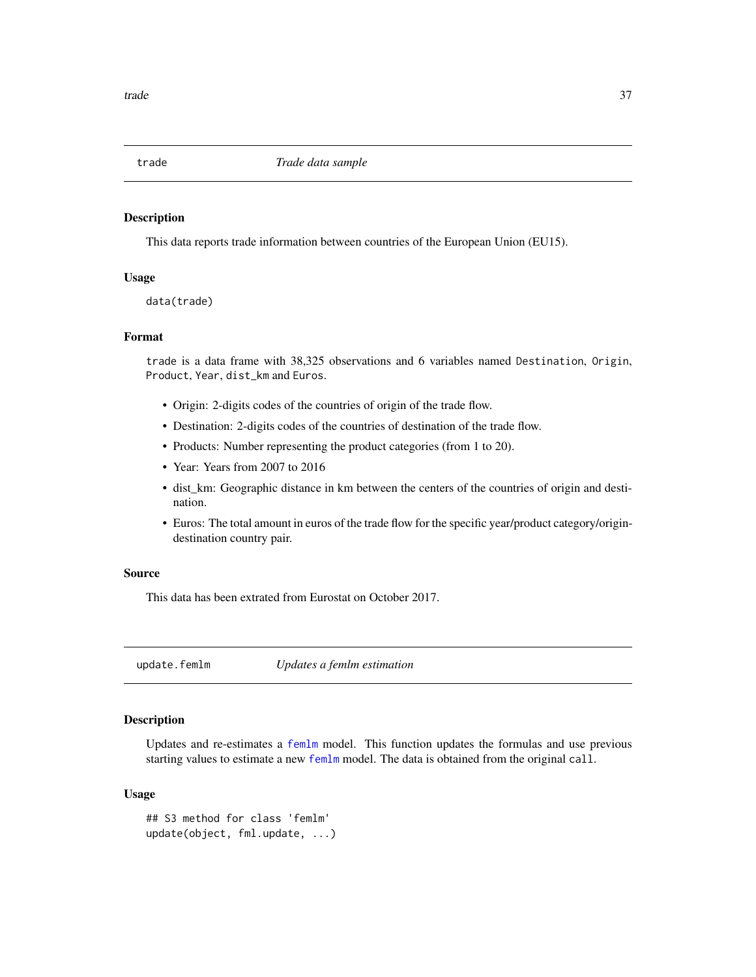<span id="page-36-0"></span>

#### Description

This data reports trade information between countries of the European Union (EU15).

# Usage

data(trade)

#### Format

trade is a data frame with 38,325 observations and 6 variables named Destination, Origin, Product, Year, dist\_km and Euros.

- Origin: 2-digits codes of the countries of origin of the trade flow.
- Destination: 2-digits codes of the countries of destination of the trade flow.
- Products: Number representing the product categories (from 1 to 20).
- Year: Years from 2007 to 2016
- dist\_km: Geographic distance in km between the centers of the countries of origin and destination.
- Euros: The total amount in euros of the trade flow for the specific year/product category/origindestination country pair.

#### Source

This data has been extrated from Eurostat on October 2017.

<span id="page-36-1"></span>update.femlm *Updates a femlm estimation*

# Description

Updates and re-estimates a [femlm](#page-8-1) model. This function updates the formulas and use previous starting values to estimate a new [femlm](#page-8-1) model. The data is obtained from the original call.

#### Usage

```
## S3 method for class 'femlm'
update(object, fml.update, ...)
```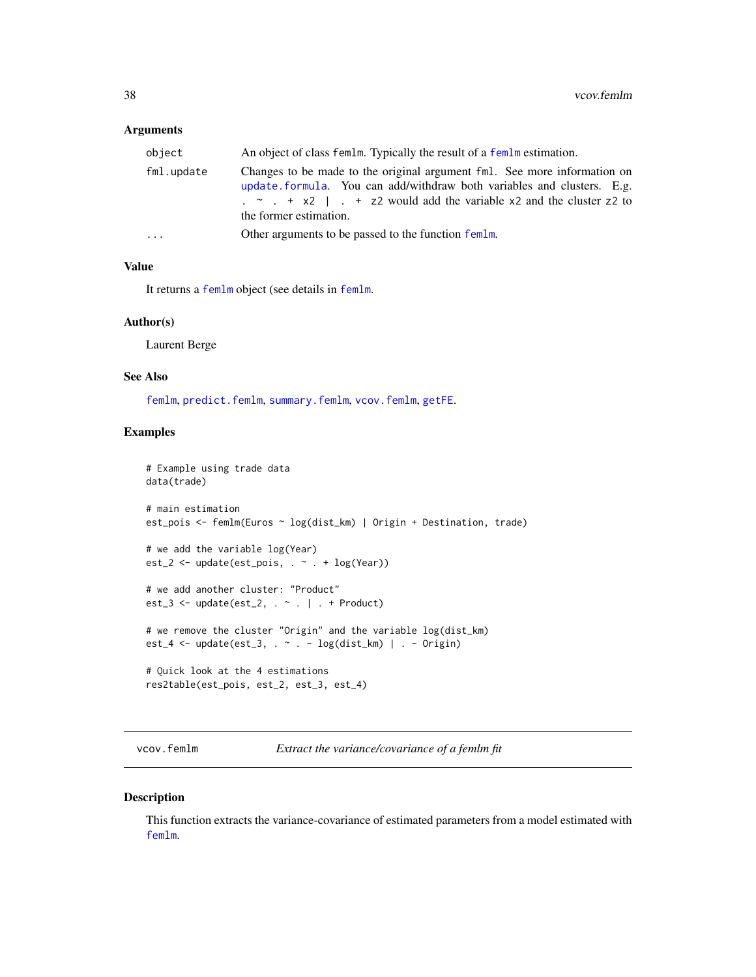#### <span id="page-37-0"></span>**Arguments**

| object     | An object of class femlm. Typically the result of a femlm estimation.                                                                                                                                                                                                                 |
|------------|---------------------------------------------------------------------------------------------------------------------------------------------------------------------------------------------------------------------------------------------------------------------------------------|
| fml.update | Changes to be made to the original argument fml. See more information on<br>update formula. You can add/withdraw both variables and clusters. E.g.<br>$\frac{x}{x}$ $\frac{y}{x}$ + x2   $\frac{z}{x}$ + z2 would add the variable x2 and the cluster z2 to<br>the former estimation. |
| .          | Other arguments to be passed to the function femlm.                                                                                                                                                                                                                                   |

#### Value

It returns a [femlm](#page-8-1) object (see details in [femlm](#page-8-1).

#### Author(s)

Laurent Berge

#### See Also

[femlm](#page-8-1), [predict.femlm](#page-24-1), [summary.femlm](#page-34-1), [vcov.femlm](#page-37-1), [getFE](#page-17-1).

#### Examples

```
# Example using trade data
data(trade)
# main estimation
est_pois <- femlm(Euros ~ log(dist_km) | Origin + Destination, trade)
# we add the variable log(Year)
est_2 <- update(est_pois, . ~ . + log(Year))
# we add another cluster: "Product"
est_3 \leftarrow update(est_2, . . . . . . . . . .# we remove the cluster "Origin" and the variable log(dist_km)
est_4 <- update(est_3, . ~ . - log(dist_km) | . - Origin)
# Quick look at the 4 estimations
res2table(est_pois, est_2, est_3, est_4)
```
<span id="page-37-1"></span>vcov.femlm *Extract the variance/covariance of a femlm fit*

#### Description

This function extracts the variance-covariance of estimated parameters from a model estimated with [femlm](#page-8-1).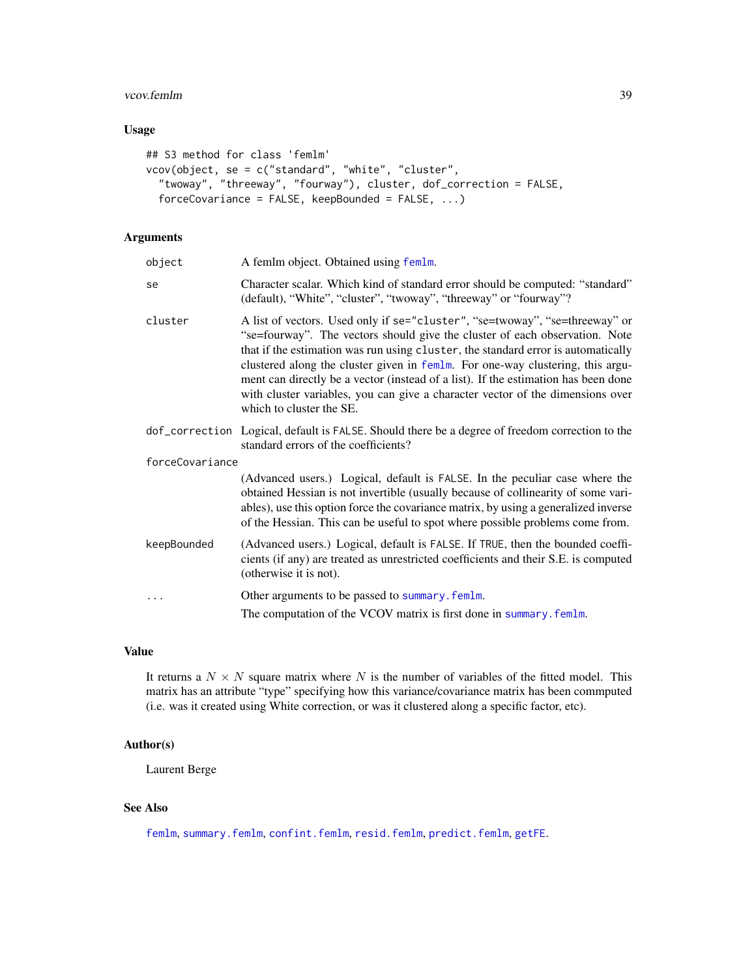#### <span id="page-38-0"></span>vcov.femlm 39

# Usage

```
## S3 method for class 'femlm'
vcov(object, se = c("standard", "white", "cluster",
  "twoway", "threeway", "fourway"), cluster, dof_correction = FALSE,
  forceCovariance = FALSE, keepBounded = FALSE, ...)
```
# Arguments

| object          | A femlm object. Obtained using femlm.                                                                                                                                                                                                                                                                                                                                                                                                                                                                                                 |
|-----------------|---------------------------------------------------------------------------------------------------------------------------------------------------------------------------------------------------------------------------------------------------------------------------------------------------------------------------------------------------------------------------------------------------------------------------------------------------------------------------------------------------------------------------------------|
| se              | Character scalar. Which kind of standard error should be computed: "standard"<br>(default), "White", "cluster", "twoway", "threeway" or "fourway"?                                                                                                                                                                                                                                                                                                                                                                                    |
| cluster         | A list of vectors. Used only if se="cluster", "se=twoway", "se=threeway" or<br>"se=fourway". The vectors should give the cluster of each observation. Note<br>that if the estimation was run using cluster, the standard error is automatically<br>clustered along the cluster given in femlm. For one-way clustering, this argu-<br>ment can directly be a vector (instead of a list). If the estimation has been done<br>with cluster variables, you can give a character vector of the dimensions over<br>which to cluster the SE. |
|                 | dof_correction Logical, default is FALSE. Should there be a degree of freedom correction to the<br>standard errors of the coefficients?                                                                                                                                                                                                                                                                                                                                                                                               |
| forceCovariance |                                                                                                                                                                                                                                                                                                                                                                                                                                                                                                                                       |
|                 | (Advanced users.) Logical, default is FALSE. In the peculiar case where the<br>obtained Hessian is not invertible (usually because of collinearity of some vari-<br>ables), use this option force the covariance matrix, by using a generalized inverse<br>of the Hessian. This can be useful to spot where possible problems come from.                                                                                                                                                                                              |
| keepBounded     | (Advanced users.) Logical, default is FALSE. If TRUE, then the bounded coeffi-<br>cients (if any) are treated as unrestricted coefficients and their S.E. is computed<br>(otherwise it is not).                                                                                                                                                                                                                                                                                                                                       |
|                 | Other arguments to be passed to summary. femlm.                                                                                                                                                                                                                                                                                                                                                                                                                                                                                       |
|                 | The computation of the VCOV matrix is first done in summary. femlm.                                                                                                                                                                                                                                                                                                                                                                                                                                                                   |

# Value

It returns a  $N \times N$  square matrix where N is the number of variables of the fitted model. This matrix has an attribute "type" specifying how this variance/covariance matrix has been commputed (i.e. was it created using White correction, or was it clustered along a specific factor, etc).

#### Author(s)

Laurent Berge

# See Also

[femlm](#page-8-1), [summary.femlm](#page-34-1), [confint.femlm](#page-5-1), [resid.femlm](#page-33-1), [predict.femlm](#page-24-1), [getFE](#page-17-1).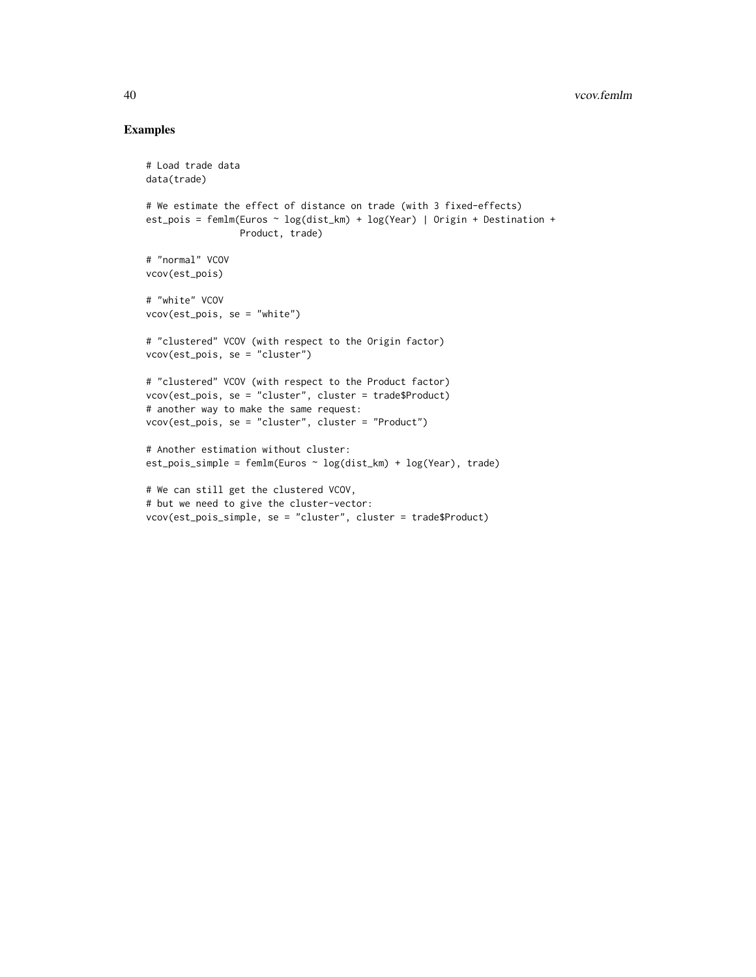# Examples

```
# Load trade data
data(trade)
# We estimate the effect of distance on trade (with 3 fixed-effects)
est_pois = femlm(Euros ~ log(dist_km) + log(Year) | Origin + Destination +
                 Product, trade)
# "normal" VCOV
vcov(est_pois)
# "white" VCOV
vcov(est_pois, se = "white")
# "clustered" VCOV (with respect to the Origin factor)
vcov(est_pois, se = "cluster")
# "clustered" VCOV (with respect to the Product factor)
vcov(est_pois, se = "cluster", cluster = trade$Product)
# another way to make the same request:
vcov(est_pois, se = "cluster", cluster = "Product")
# Another estimation without cluster:
est_pois_simple = femlm(Euros ~ log(dist_km) + log(Year), trade)
# We can still get the clustered VCOV,
# but we need to give the cluster-vector:
vcov(est_pois_simple, se = "cluster", cluster = trade$Product)
```